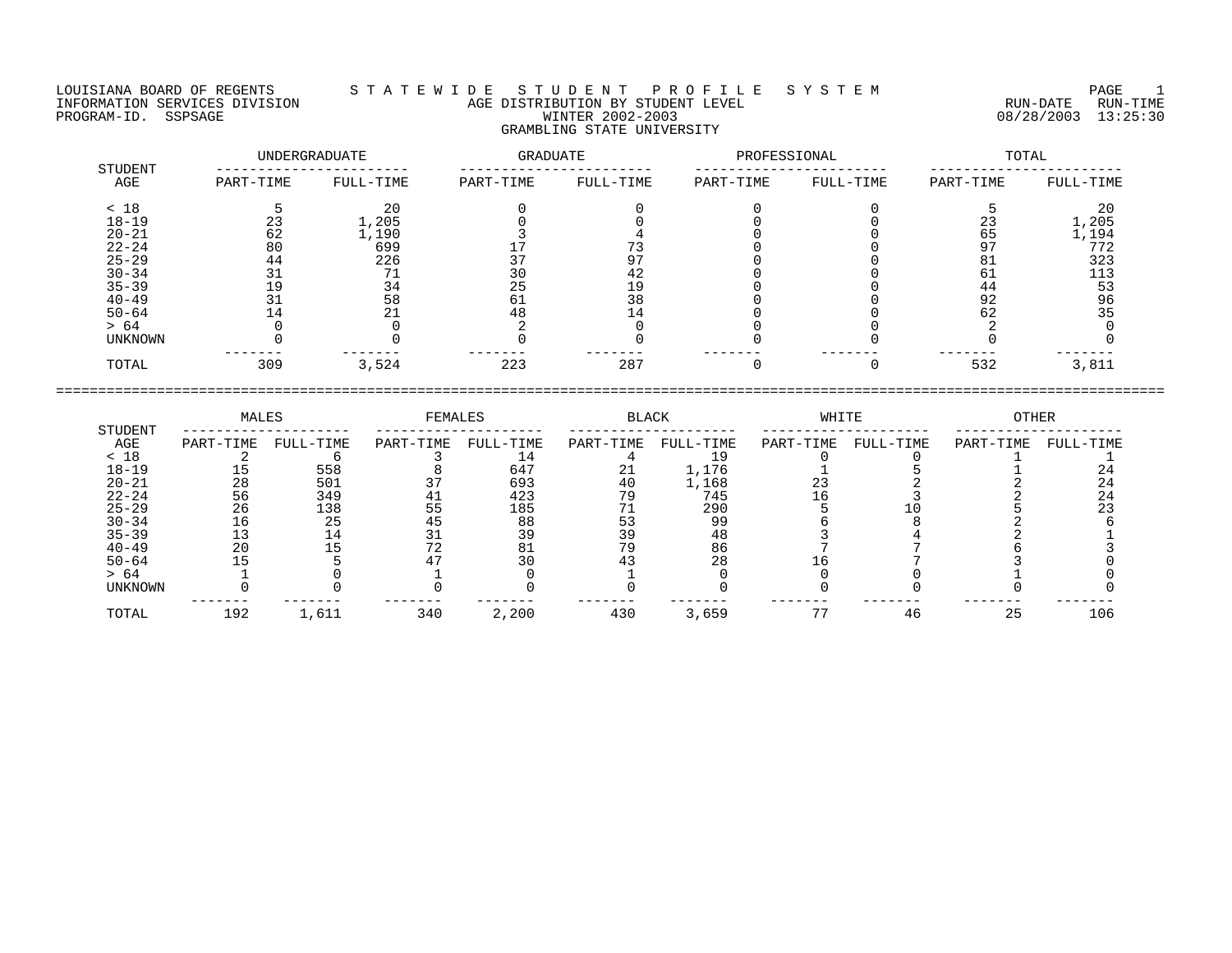LOUISIANA BOARD OF REGENTS S T A T E W I D E S T U D E N T P R O F I L E S Y S T E M PAGE 1 INFORMATION SERVICES DIVISION AGE DISTRIBUTION BY STUDENT LEVEL RUN-DATE RUN-TIME ENGENIER DIVISION CONSULTED AGE DISTRIBUTION BY STUDENT LEVEL CONSULTED TO A RUN-DATE RUN-TIME<br>PROGRAM-ID. SSPSAGE PROGRAM-ID. SSPSAGE WINTER 2002-2003 08/28/2003 13:25:30

# GRAMBLING STATE UNIVERSITY

| STUDENT   | UNDERGRADUATE |           | GRADUATE  |           | PROFESSIONAL |           | TOTAL     |           |  |
|-----------|---------------|-----------|-----------|-----------|--------------|-----------|-----------|-----------|--|
| AGE       | PART-TIME     | FULL-TIME | PART-TIME | FULL-TIME | PART-TIME    | FULL-TIME | PART-TIME | FULL-TIME |  |
| < 18      |               | 20        |           |           |              |           |           | 20        |  |
| $18 - 19$ | 23            | 1,205     |           |           |              |           | 23        | 1,205     |  |
| $20 - 21$ | 62            | 1,190     |           |           |              |           | 65        | 1,194     |  |
| $22 - 24$ | 80            | 699       |           |           |              |           | 97        | 772       |  |
| $25 - 29$ | 44            | 226       |           | 97        |              |           | 81        | 323       |  |
| $30 - 34$ | 31            |           | 30        | 42        |              |           | 61        | 113       |  |
| $35 - 39$ | 19            | 34        | 25        | 19        |              |           | 44        | 53        |  |
| $40 - 49$ |               | 58        | 61        | 38        |              |           | 92        | 96        |  |
| $50 - 64$ | 14            |           | 48        |           |              |           | 62        | 35        |  |
| > 64      |               |           |           |           |              |           |           |           |  |
| UNKNOWN   |               |           |           |           |              |           |           |           |  |
| TOTAL     | 309           | 3,524     | 223       | 287       |              |           | 532       | 3,811     |  |

|                | MALES     |           | FEMALES   |           | <b>BLACK</b> |           | WHITE     |           | OTHER     |           |
|----------------|-----------|-----------|-----------|-----------|--------------|-----------|-----------|-----------|-----------|-----------|
| STUDENT<br>AGE | PART-TIME | FULL-TIME | PART-TIME | FULL-TIME | PART-TIME    | FULL-TIME | PART-TIME | FULL-TIME | PART-TIME | FULL-TIME |
| < 18           |           |           |           | 14        |              |           |           |           |           |           |
| $18 - 19$      |           | 558       |           | 647       | 21           | 1,176     |           |           |           | 24        |
| $20 - 21$      | 28        | 501       |           | 693       | 40           | 1,168     |           |           |           | 24        |
| $22 - 24$      | 56        | 349       | 41        | 423       | 79           | 745       |           |           |           | 24        |
| $25 - 29$      | 26        | 138       | 55        | 185       |              | 290       |           |           |           |           |
| $30 - 34$      | ⊥6        | 25        | 45        | 88        |              | 99        |           |           |           |           |
| $35 - 39$      |           |           |           | 39        |              | 48        |           |           |           |           |
| $40 - 49$      | 20        |           |           |           |              | 86        |           |           |           |           |
| $50 - 64$      |           |           |           |           |              | 28        |           |           |           |           |
| > 64           |           |           |           |           |              |           |           |           |           |           |
| <b>UNKNOWN</b> |           |           |           |           |              |           |           |           |           |           |
| TOTAL          | 192       | 1,611     | 340       | 2,200     | 430          | 3,659     |           |           | 25        | 106       |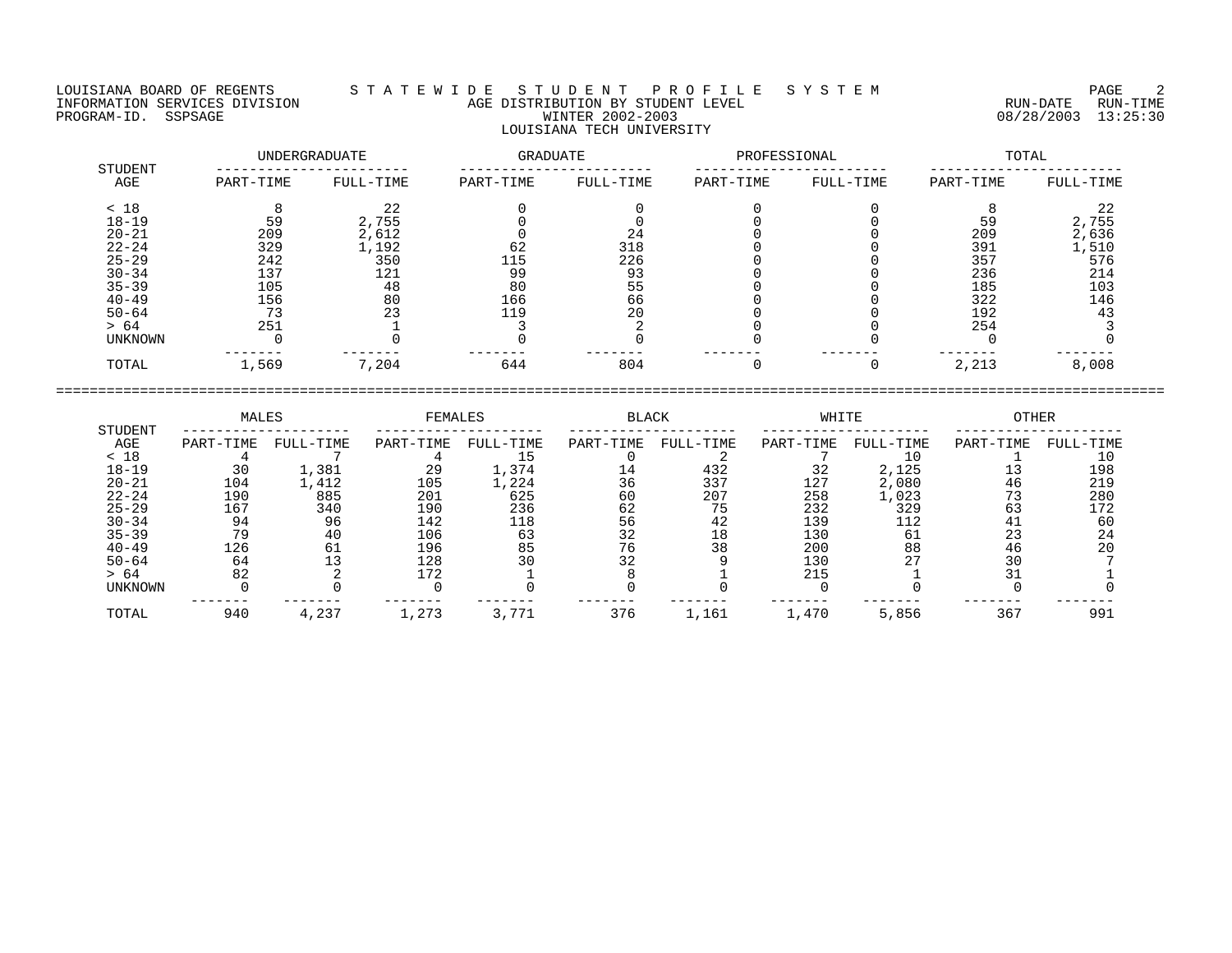LOUISIANA BOARD OF REGENTS S T A T E W I D E S T U D E N T P R O F I L E S Y S T E M PAGE 2 INFORMATION SERVICES DIVISION AGE DISTRIBUTION BY STUDENT LEVEL RUN-DATE RUN-TIME PROGRAM-ID. SSPSAGE WINTER 2002-2003 08/28/2003 13:25:30 LOUISIANA TECH UNIVERSITY

| STUDENT        |           | UNDERGRADUATE |           | GRADUATE  |           | PROFESSIONAL | TOTAL     |           |  |
|----------------|-----------|---------------|-----------|-----------|-----------|--------------|-----------|-----------|--|
| AGE            | PART-TIME | FULL-TIME     | PART-TIME | FULL-TIME | PART-TIME | FULL-TIME    | PART-TIME | FULL-TIME |  |
| < 18           |           | 22            |           |           |           |              |           | 22        |  |
| $18 - 19$      | 59        | 2,755         |           |           |           |              | 59        | 2,755     |  |
| $20 - 21$      | 209       | 2,612         |           | 24        |           |              | 209       | 2,636     |  |
| $22 - 24$      | 329       | 1,192         | 62        | 318       |           |              | 391       | 1,510     |  |
| $25 - 29$      | 242       | 350           | 115       | 226       |           |              | 357       | 576       |  |
| $30 - 34$      | 137       | 121           | 99        | 93        |           |              | 236       | 214       |  |
| $35 - 39$      | 105       | 48            | 80        | 55        |           |              | 185       | 103       |  |
| $40 - 49$      | 156       | 80            | 166       | 66        |           |              | 322       | 146       |  |
| $50 - 64$      |           | 23            | 119       | 20        |           |              | 192       | 43        |  |
| > 64           | 251       |               |           |           |           |              | 254       |           |  |
| <b>UNKNOWN</b> |           |               |           |           |           |              |           |           |  |
| TOTAL          | 1,569     | 7,204         | 644       | 804       |           |              | 2,213     | 8,008     |  |

|                | MALES     |           | FEMALES   |           | <b>BLACK</b> |           | WHITE     |           | OTHER     |           |
|----------------|-----------|-----------|-----------|-----------|--------------|-----------|-----------|-----------|-----------|-----------|
| STUDENT<br>AGE | PART-TIME | FULL-TIME | PART-TIME | FULL-TIME | PART-TIME    | FULL-TIME | PART-TIME | FULL-TIME | PART-TIME | FULL-TIME |
| < 18           |           |           |           |           |              |           |           |           |           | 10        |
| $18 - 19$      | 30        | 1,381     | 29        | L,374     | 14           | 432       | 32        | 2,125     |           | 198       |
| $20 - 21$      | 104       | .,412     | 105       | ,224      | 36           | 337       | 127       | 2,080     | 46        | 219       |
| $22 - 24$      | 190       | 885       | 201       | 625       | 60           | 207       | 258       | 1,023     |           | 280       |
| $25 - 29$      | 167       | 340       | 190       | 236       | 62           | 75        | 232       | 329       | 63        | 172       |
| $30 - 34$      | 94        | 96        | 142       | 118       | 56           | 42        | 139       | 112       |           | 60        |
| $35 - 39$      | 79        | 40        | 106       | 63        | 32           | 18        | 130       | 61        | 23        | 24        |
| $40 - 49$      | 126       | 61        | 196       | 85        | 76           | 38        | 200       | 88        | 46        | 20        |
| $50 - 64$      | 64        |           | 128       | 30        | 32           |           | 130       | 27        | 30        |           |
| > 64           | 82        |           | 172       |           |              |           | 215       |           |           |           |
| UNKNOWN        |           |           |           |           |              |           |           |           |           |           |
| TOTAL          | 940       | 4,237     | 1,273     | 3,771     | 376          | 1,161     | 1,470     | 5,856     | 367       | 991       |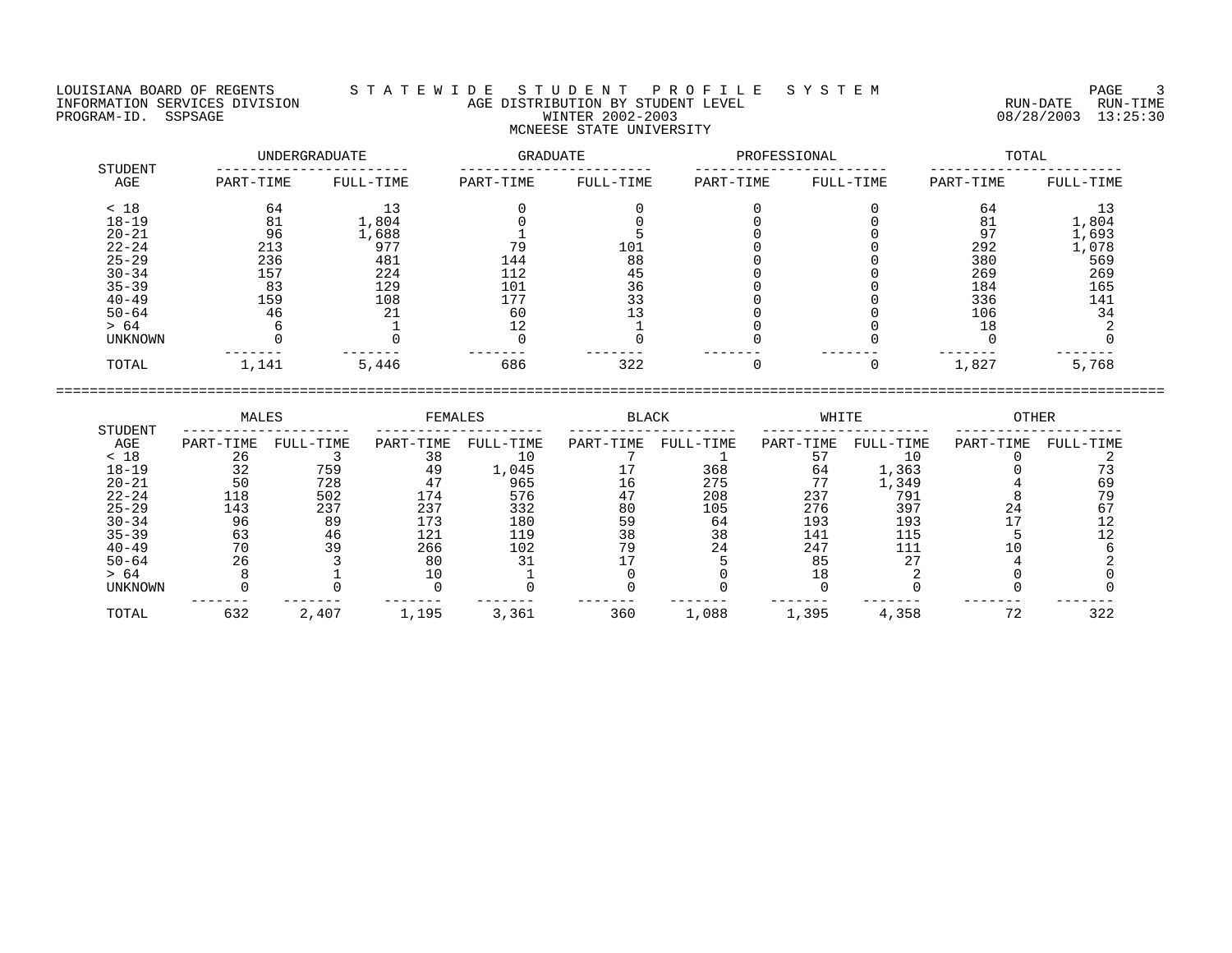## LOUISIANA BOARD OF REGENTS S T A T E W I D E S T U D E N T P R O F I L E S Y S T E M PAGE 3 INFORMATION SERVICES DIVISION AGE DISTRIBUTION BY STUDENT LEVEL RUN-DATE RUN-TIME ENGENIER DIVISION CONSULTED AGE DISTRIBUTION BY STUDENT LEVEL CONSULTED TO A RUN-DATE RUN-TIME<br>PROGRAM-ID. SSPSAGE PROGRAM-ID. SSPSAGE WINTER 2002-2003 08/28/2003 13:25:30 MCNEESE STATE UNIVERSITY

|                | UNDERGRADUATE |           | GRADUATE  |           | PROFESSIONAL |           | TOTAL     |           |  |
|----------------|---------------|-----------|-----------|-----------|--------------|-----------|-----------|-----------|--|
| STUDENT<br>AGE | PART-TIME     | FULL-TIME | PART-TIME | FULL-TIME | PART-TIME    | FULL-TIME | PART-TIME | FULL-TIME |  |
| < 18           | 64            | 13        |           |           |              |           | 64        | 13        |  |
| $18 - 19$      | 81            | 1,804     |           |           |              |           | 81        | 1,804     |  |
| $20 - 21$      | 96            | 1,688     |           |           |              |           | 97        | 1,693     |  |
| $22 - 24$      | 213           | 977       | 79        | 101       |              |           | 292       | 1,078     |  |
| $25 - 29$      | 236           | 481       | 144       | 88        |              |           | 380       | 569       |  |
| $30 - 34$      | 157           | 224       | 112       | 45        |              |           | 269       | 269       |  |
| $35 - 39$      | 83            | 129       | 101       | 36        |              |           | 184       | 165       |  |
| $40 - 49$      | 159           | 108       | 177       | 33        |              |           | 336       | 141       |  |
| $50 - 64$      | 46            | 21        | 60        |           |              |           | 106       | 34        |  |
| > 64           |               |           | 12        |           |              |           | 18        |           |  |
| UNKNOWN        |               |           |           |           |              |           |           |           |  |
| TOTAL          | 1,141         | 5,446     | 686       | 322       |              |           | 1,827     | 5,768     |  |

| STUDENT        | MALES     |           | FEMALES   |           | BLACK     |           | WHITE     |           | OTHER     |           |
|----------------|-----------|-----------|-----------|-----------|-----------|-----------|-----------|-----------|-----------|-----------|
| AGE            | PART-TIME | FULL-TIME | PART-TIME | FULL-TIME | PART-TIME | FULL-TIME | PART-TIME | FULL-TIME | PART-TIME | FULL-TIME |
| < 18           | 26        |           | 38        |           |           |           |           |           |           |           |
| $18 - 19$      | 32        | 759       | 49        | 1,045     |           | 368       | 64        | 1,363     |           |           |
| $20 - 21$      | 50        | 728       | 4.        | 965       | 16        | 275       | 77        | 1,349     |           | 69        |
| $22 - 24$      | 118       | 502       | 174       | 576       | 47        | 208       | 237       | 791       |           |           |
| $25 - 29$      | 143       | 237       | 237       | 332       | 80        | 105       | 276       | 397       | 24        |           |
| $30 - 34$      | 96        | 89        | 173       | 180       | 59        | 64        | 193       | 193       |           |           |
| $35 - 39$      | 63        | 46        | 121       | 119       | 38        | 38        | 141       | 115       |           |           |
| $40 - 49$      | 70        | 39        | 266       | 102       | 79        | 24        | 247       | 111       |           |           |
| $50 - 64$      | 26        |           | 80        |           |           |           | 85        |           |           |           |
| > 64           |           |           |           |           |           |           |           |           |           |           |
| <b>UNKNOWN</b> |           |           |           |           |           |           |           |           |           |           |
| TOTAL          | 632       | 2,407     | 1,195     | 3,361     | 360       | 1,088     | 1,395     | 4,358     | 72        | 322       |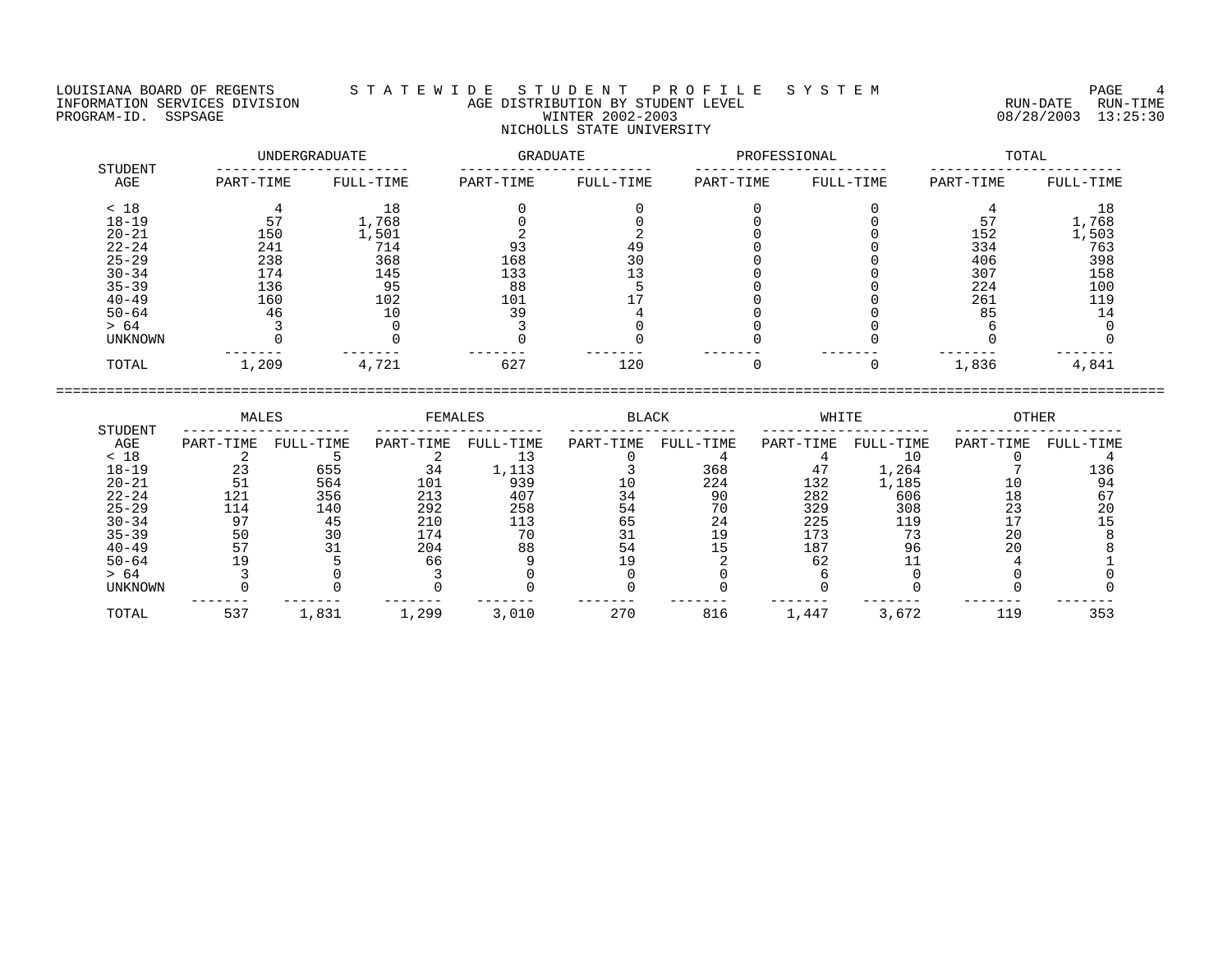LOUISIANA BOARD OF REGENTS S T A T E W I D E S T U D E N T P R O F I L E S Y S T E M PAGE 4 INFORMATION SERVICES DIVISION AGE DISTRIBUTION BY STUDENT LEVEL RUN-DATE RUN-TIME PROGRAM-ID. SSPSAGE WINTER 2002-2003 08/28/2003 13:25:30 NICHOLLS STATE UNIVERSITY

| STUDENT        |           | UNDERGRADUATE | <b>GRADUATE</b> |           | PROFESSIONAL |           | TOTAL     |           |  |
|----------------|-----------|---------------|-----------------|-----------|--------------|-----------|-----------|-----------|--|
| AGE            | PART-TIME | FULL-TIME     | PART-TIME       | FULL-TIME | PART-TIME    | FULL-TIME | PART-TIME | FULL-TIME |  |
| < 18           |           | 18            |                 |           |              |           |           | 18        |  |
| $18 - 19$      |           | 1,768         |                 |           |              |           |           | 1,768     |  |
| $20 - 21$      | 150       | 1,501         |                 |           |              |           | 152       | 1,503     |  |
| $22 - 24$      | 241       | 714           | 93              | 49        |              |           | 334       | 763       |  |
| $25 - 29$      | 238       | 368           | 168             | 30        |              |           | 406       | 398       |  |
| $30 - 34$      | 174       | 145           | 133             |           |              |           | 307       | 158       |  |
| $35 - 39$      | 136       | 95            | 88              |           |              |           | 224       | 100       |  |
| $40 - 49$      | 160       | 102           | 101             |           |              |           | 261       | 119       |  |
| $50 - 64$      | 46        | 10            | 39              |           |              |           | 85        | 14        |  |
| > 64           |           |               |                 |           |              |           |           |           |  |
| <b>UNKNOWN</b> |           |               |                 |           |              |           |           |           |  |
| TOTAL          | 1,209     | 4,721         | 627             | 120       |              |           | 1,836     | 4,841     |  |

 MALES FEMALES BLACK WHITE OTHER STUDENT -------------------- -------------------- -------------------- -------------------- -------------------- AGE PART-TIME FULL-TIME PART-TIME FULL-TIME PART-TIME FULL-TIME PART-TIME FULL-TIME PART-TIME FULL-TIME < 18 2 5 2 13 0 4 4 10 0 4 18-19 23 655 34 1,113 3 368 47 1,264 7 136 20-21 51 564 101 939 10 224 132 1,185 10 94 22-24 121 356 213 407 34 90 282 606 18 67 25-29 114 140 292 258 54 70 329 308 23 20 30-34 97 45 210 113 65 24 225 119 17 15 35-39 50 30 174 70 31 19 173 73 20 8 40-49 57 31 204 88 54 15 187 96 20 8 50-64 19 5 66 9 19 2 62 11 4 1 > 64 3 0 3 0 0 0 6 0 0 0 UNKNOWN 0 0 0 0 0 0 0 0 0 0 ------- ------- ------- ------- ------- ------- ------- ------- ------- ------- TOTAL 537 1,831 1,299 3,010 270 816 1,447 3,672 119 353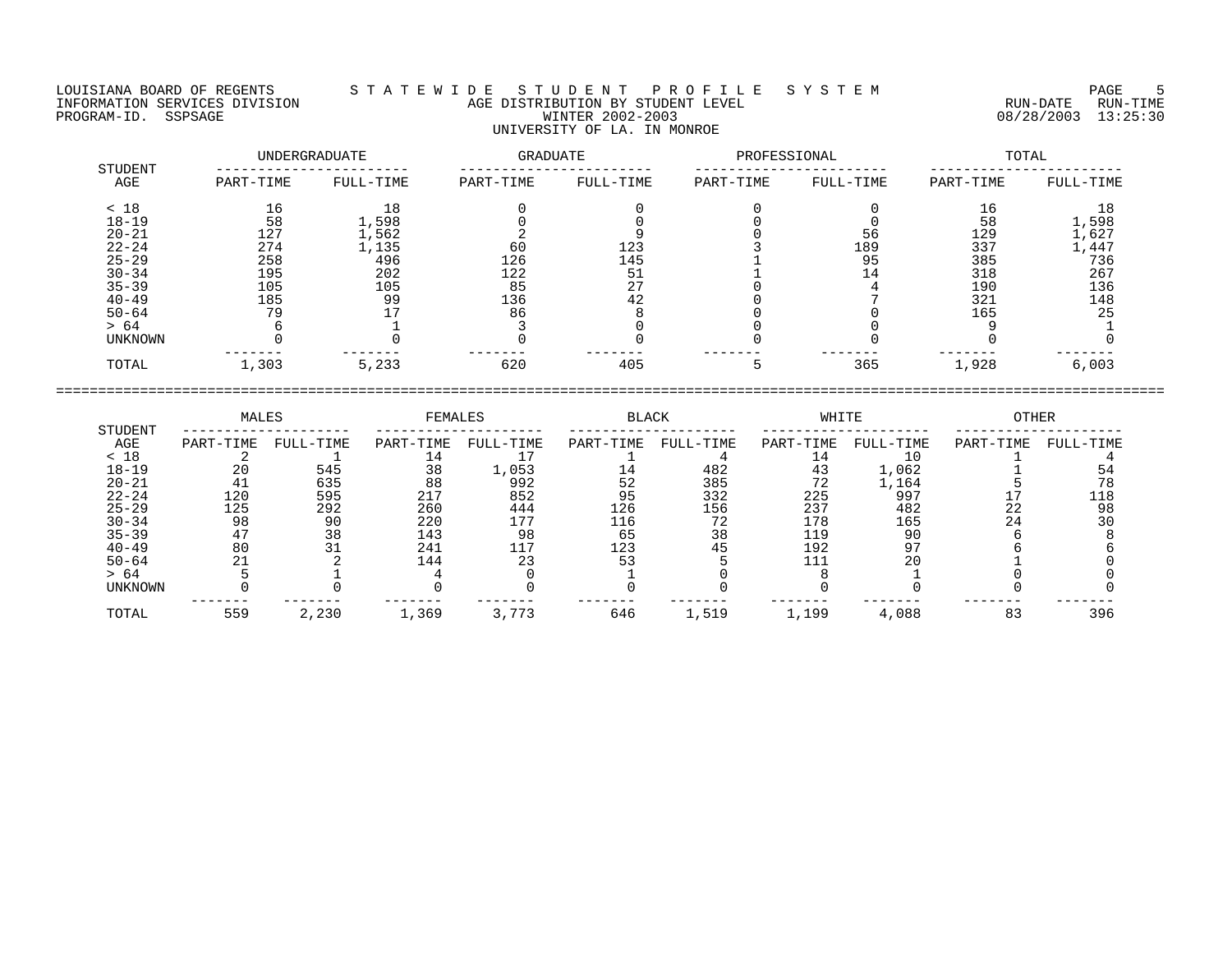LOUISIANA BOARD OF REGENTS S T A T E W I D E S T U D E N T P R O F I L E S Y S T E M PAGE 5 INFORMATION SERVICES DIVISION AGE DISTRIBUTION BY STUDENT LEVEL RUN-DATE RUN-TIME PROGRAM-ID. SSPSAGE WINTER 2002-2003 08/28/2003 13:25:30 UNIVERSITY OF LA. IN MONROE

|                |           | UNDERGRADUATE | GRADUATE  |           | PROFESSIONAL |           | TOTAL     |           |  |
|----------------|-----------|---------------|-----------|-----------|--------------|-----------|-----------|-----------|--|
| STUDENT<br>AGE | PART-TIME | FULL-TIME     | PART-TIME | FULL-TIME | PART-TIME    | FULL-TIME | PART-TIME | FULL-TIME |  |
| < 18           | 16        | l 8           |           |           |              |           | 16        |           |  |
| $18 - 19$      | 58        | 1,598         |           |           |              |           | 58        | 1,598     |  |
| $20 - 21$      | 127       | 1,562         |           |           |              | 56        | 129       | 1,627     |  |
| $22 - 24$      | 274       | 1,135         | 60        | 123       |              | 189       | 337       | 1,447     |  |
| $25 - 29$      | 258       | 496           | 126       | 145       |              | 95        | 385       | 736       |  |
| $30 - 34$      | 195       | 202           | 122       | 51        |              |           | 318       | 267       |  |
| $35 - 39$      | 105       | 105           | 85        | 27        |              |           | 190       | 136       |  |
| $40 - 49$      | 185       | 99            | 136       | 42        |              |           | 321       | 148       |  |
| $50 - 64$      | 79        |               | 86        |           |              |           | 165       | 25        |  |
| > 64           |           |               |           |           |              |           |           |           |  |
| UNKNOWN        |           |               |           |           |              |           |           |           |  |
| TOTAL          | 1,303     | 5,233         | 620       | 405       |              | 365       | 1,928     | 6,003     |  |

====================================================================================================================================

 MALES FEMALES BLACK WHITE OTHER STUDENT -------------------- -------------------- -------------------- -------------------- -------------------- AGE PART-TIME FULL-TIME PART-TIME FULL-TIME PART-TIME FULL-TIME PART-TIME FULL-TIME PART-TIME FULL-TIME < 18 2 1 14 17 1 4 14 10 1 4 18-19 20 545 38 1,053 14 482 43 1,062 1 54 20-21 41 635 88 992 52 385 72 1,164 5 78 22-24 120 595 217 852 95 332 225 997 17 118 25-29 125 292 260 444 126 156 237 482 22 98 30-34 98 90 220 177 116 72 178 165 24 30 35-39 47 38 143 98 65 38 119 90 6 8 40-49 80 31 241 117 123 45 192 97 6 6 50-64 21 2 144 23 53 5 111 20 1 0 > 64 5 1 4 0 1 0 8 1 0 0 UNKNOWN 0 0 0 0 0 0 0 0 0 0 ------- ------- ------- ------- ------- ------- ------- ------- ------- ------- TOTAL 559 2,230 1,369 3,773 646 1,519 1,199 4,088 83 396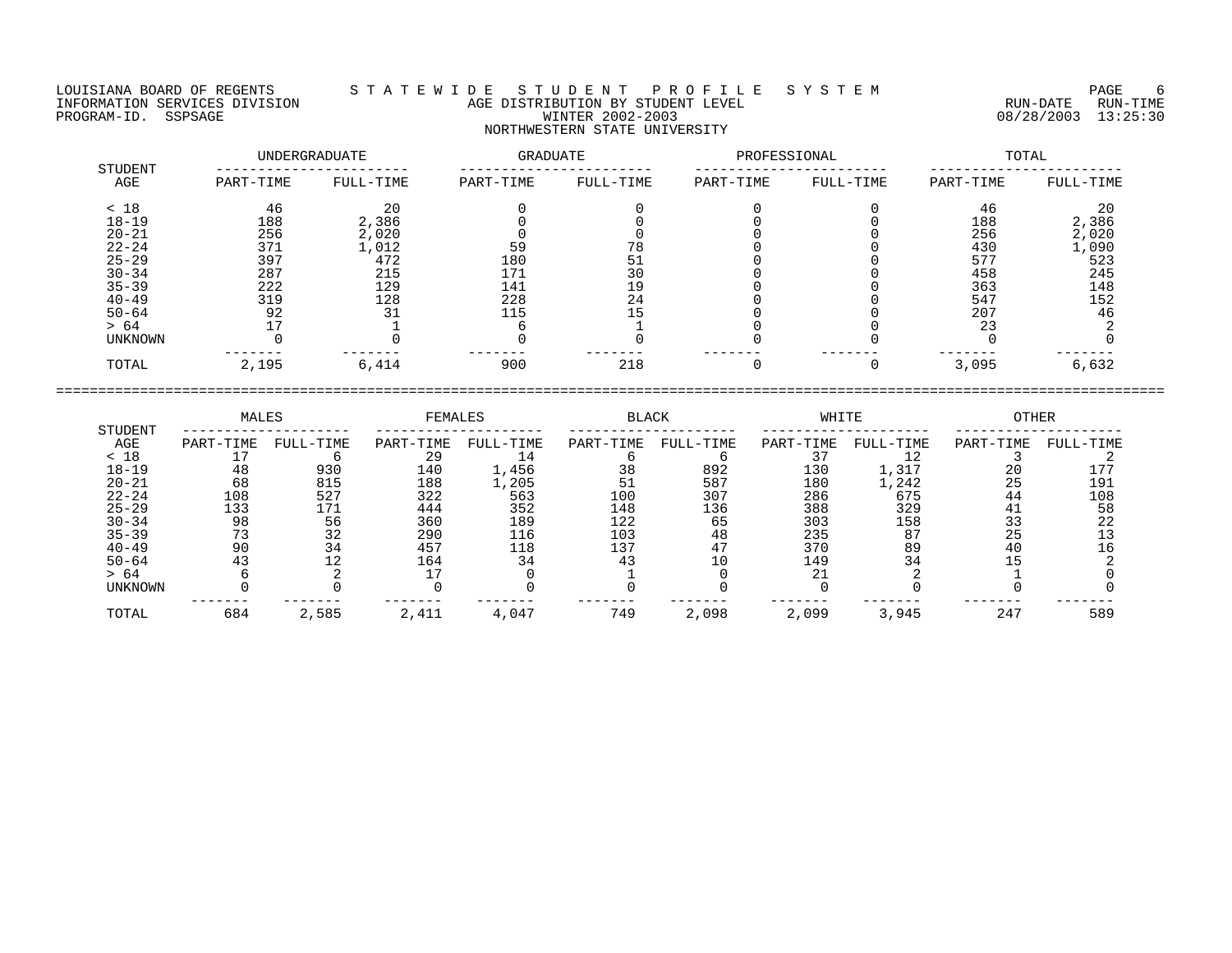LOUISIANA BOARD OF REGENTS S T A T E W I D E S T U D E N T P R O F I L E S Y S T E M PAGE 6 INFORMATION SERVICES DIVISION AGE DISTRIBUTION BY STUDENT LEVEL RUN-DATE RUN-TIME ENGENIER DIVISION CONSULTED AGE DISTRIBUTION BY STUDENT LEVEL CONSULTED TO A RUN-DATE RUN-TIME<br>PROGRAM-ID. SSPSAGE PROGRAM-ID. SSPSAGE WINTER 2002-2003 08/28/2003 13:25:30

## NORTHWESTERN STATE UNIVERSITY

|                | UNDERGRADUATE |           | GRADUATE  |           | PROFESSIONAL |           | TOTAL     |           |  |
|----------------|---------------|-----------|-----------|-----------|--------------|-----------|-----------|-----------|--|
| STUDENT<br>AGE | PART-TIME     | FULL-TIME | PART-TIME | FULL-TIME | PART-TIME    | FULL-TIME | PART-TIME | FULL-TIME |  |
| < 18           | 46            | 20        |           |           |              |           | 46        | 20        |  |
| $18 - 19$      | 188           | 2,386     |           |           |              |           | 188       | 2,386     |  |
| $20 - 21$      | 256           | 2,020     |           |           |              |           | 256       | 2,020     |  |
| $22 - 24$      | 371           | 1,012     | 59        |           |              |           | 430       | 1,090     |  |
| $25 - 29$      | 397           | 472       | 180       | 51        |              |           | 577       | 523       |  |
| $30 - 34$      | 287           | 215       | 171       | 30        |              |           | 458       | 245       |  |
| $35 - 39$      | 222           | 129       | 141       | 19        |              |           | 363       | 148       |  |
| $40 - 49$      | 319           | 128       | 228       | 24        |              |           | 547       | 152       |  |
| $50 - 64$      | 92            | 31        | 115       |           |              |           | 207       | 46        |  |
| > 64           |               |           |           |           |              |           | 23        |           |  |
| UNKNOWN        |               |           |           |           |              |           |           |           |  |
| TOTAL          | 2,195         | 6,414     | 900       | 218       |              |           | 3,095     | 6,632     |  |

|                | MALES     |           | FEMALES   |           | <b>BLACK</b> |           | WHITE     |           | <b>OTHER</b> |           |
|----------------|-----------|-----------|-----------|-----------|--------------|-----------|-----------|-----------|--------------|-----------|
| STUDENT<br>AGE | PART-TIME | FULL-TIME | PART-TIME | FULL-TIME | PART-TIME    | FULL-TIME | PART-TIME | FULL-TIME | PART-TIME    | FULL-TIME |
| < 18           |           |           | 29        | 14        |              |           |           |           |              |           |
| 18-19          | 48        | 930       | 140       | 1,456     | 38           | 892       | 130       | 1,317     | 20           |           |
| $20 - 21$      | 68        | 815       | 188       | 1,205     | 51           | 587       | 180       | 1,242     | 25           | 191       |
| $22 - 24$      | 108       | 527       | 322       | 563       | 100          | 307       | 286       | 675       | 44           | 108       |
| $25 - 29$      | 133       | 171       | 444       | 352       | 148          | 136       | 388       | 329       | 41           | 58        |
| $30 - 34$      | 98        | 56        | 360       | 189       | 122          | 65        | 303       | 158       | 33           | 22        |
| $35 - 39$      |           | 32        | 290       | 116       | 103          | 48        | 235       | 87        | 25           |           |
| $40 - 49$      | 90        |           | 457       | 118       | 137          |           | 370       | 89        | 40           |           |
| $50 - 64$      |           |           | 164       | 34        | - 4          |           | 149       | 34        |              |           |
| > 64           |           |           |           |           |              |           |           |           |              |           |
| <b>UNKNOWN</b> |           |           |           |           |              |           |           |           |              |           |
| TOTAL          | 684       | 2,585     | 2,411     | 4,047     | 749          | 2,098     | 2,099     | 3,945     | 247          | 589       |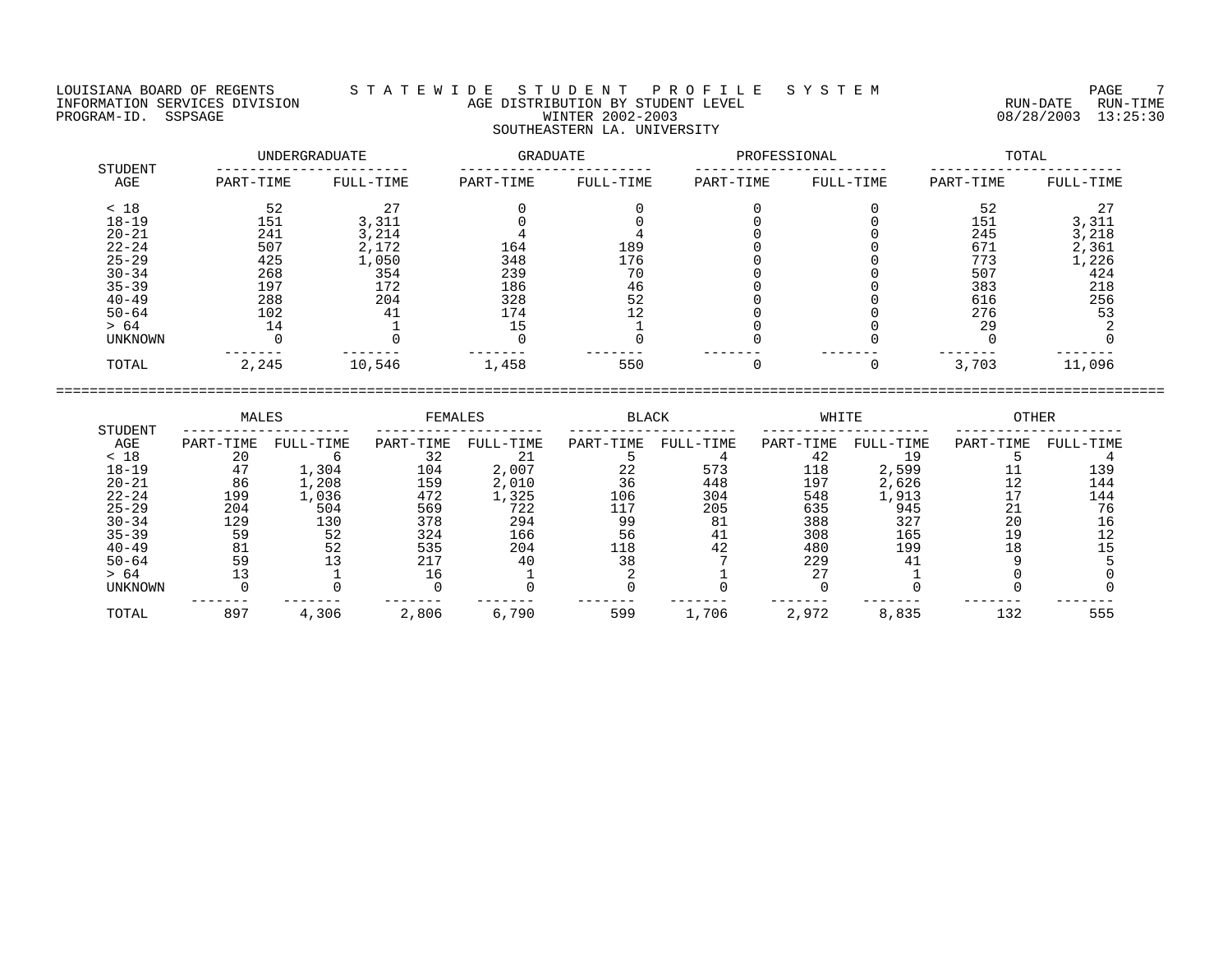LOUISIANA BOARD OF REGENTS S T A T E W I D E S T U D E N T P R O F I L E S Y S T E M PAGE 7 INFORMATION SERVICES DIVISION AGE DISTRIBUTION BY STUDENT LEVEL RUN-DATE RUN-TIME PROGRAM-ID. SSPSAGE WINTER 2002-2003 08/28/2003 13:25:30 SOUTHEASTERN LA. UNIVERSITY

| STUDENT   |           | UNDERGRADUATE | GRADUATE  |           | PROFESSIONAL |           | TOTAL     |           |  |
|-----------|-----------|---------------|-----------|-----------|--------------|-----------|-----------|-----------|--|
| AGE       | PART-TIME | FULL-TIME     | PART-TIME | FULL-TIME | PART-TIME    | FULL-TIME | PART-TIME | FULL-TIME |  |
| < 18      | 52        |               |           |           |              |           | 52        |           |  |
| $18 - 19$ | 151       | 3,311         |           |           |              |           | 151       | 3,311     |  |
| $20 - 21$ | 241       | 3,214         |           |           |              |           | 245       | 3,218     |  |
| $22 - 24$ | 507       | 2,172         | 164       | 189       |              |           | 671       | 2,361     |  |
| $25 - 29$ | 425       | 1,050         | 348       | 176       |              |           | 773       | 1,226     |  |
| $30 - 34$ | 268       | 354           | 239       | 70        |              |           | 507       | 424       |  |
| $35 - 39$ | 197       | 172           | 186       | 46        |              |           | 383       | 218       |  |
| $40 - 49$ | 288       | 204           | 328       | 52        |              |           | 616       | 256       |  |
| $50 - 64$ | 102       | 41            | 174       | 12        |              |           | 276       | 53        |  |
| > 64      | 14        |               | 15        |           |              |           | 29        |           |  |
| UNKNOWN   |           |               |           |           |              |           |           |           |  |
| TOTAL     | 2,245     | 10,546        | 1,458     | 550       |              |           | 3,703     | 11,096    |  |

|           | MALES<br>STUDENT | FEMALES   |           | <b>BLACK</b> |           | WHITE     |           | <b>OTHER</b> |           |           |
|-----------|------------------|-----------|-----------|--------------|-----------|-----------|-----------|--------------|-----------|-----------|
| AGE       | PART-TIME        | FULL-TIME | PART-TIME | FULL-TIME    | PART-TIME | FULL-TIME | PART-TIME | FULL-TIME    | PART-TIME | FULL-TIME |
| < 18      | 20               | h         | 32        | 21           |           |           | 42        | 19           |           |           |
| $18 - 19$ | 47               | 1,304     | 104       | 2,007        | 22        | 573       | 118       | 2,599        |           | 139       |
| $20 - 21$ | 86               | 1,208     | 159       | 2,010        | 36        | 448       | 197       | 2,626        | 12        | 144       |
| $22 - 24$ | 199              | 1,036     | 472       | 1,325        | 106       | 304       | 548       | 1,913        |           | 144       |
| $25 - 29$ | 204              | 504       | 569       | 722          | 117       | 205       | 635       | 945          |           | 76        |
| $30 - 34$ | 129              | 130       | 378       | 294          | 99        | 81        | 388       | 327          | 20        | 16        |
| $35 - 39$ | 59               | 52        | 324       | 166          | 56        | 41        | 308       | 165          | 19        | 12        |
| $40 - 49$ | 81               | 52        | 535       | 204          | 118       | 42        | 480       | 199          | 18        |           |
| $50 - 64$ | 59               |           | 217       | 40           | 38        |           | 229       | 41           |           |           |
| > 64      | 13               |           | 16        |              |           |           | 27        |              |           |           |
| UNKNOWN   |                  |           |           |              |           |           |           |              |           |           |
| TOTAL     | 897              | 4,306     | 2,806     | 6,790        | 599       | 1,706     | 2,972     | 8,835        | 132       | 555       |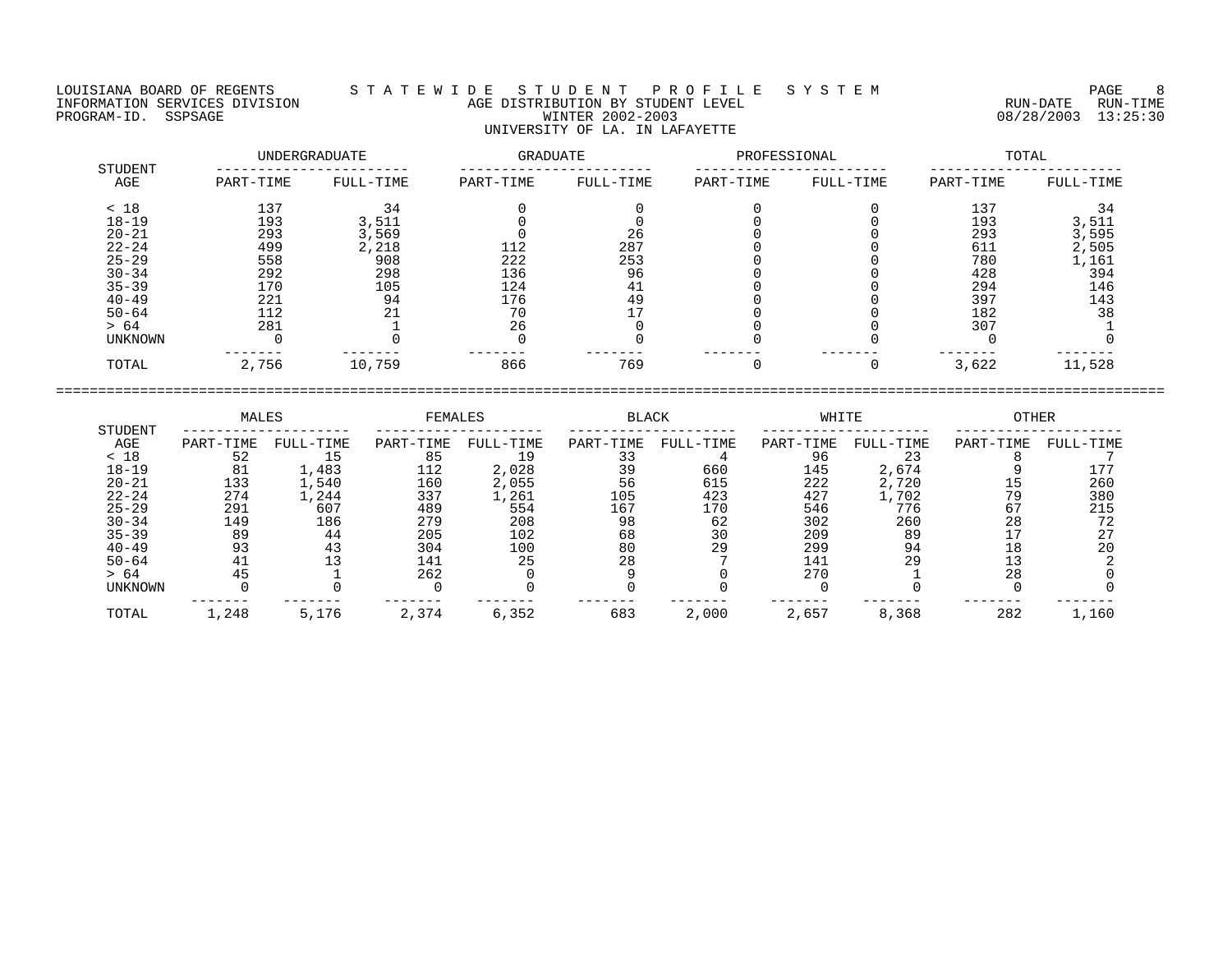LOUISIANA BOARD OF REGENTS S T A T E W I D E S T U D E N T P R O F I L E S Y S T E M PAGE 8

## INFORMATION SERVICES DIVISION AGE DISTRIBUTION BY STUDENT LEVEL RUN-DATE RUN-TIME ENGENIER DIVISION CONSULTED AGE DISTRIBUTION BY STUDENT LEVEL CONSULTED TO A RUN-DATE RUN-TIME<br>PROGRAM-ID. SSPSAGE PROGRAM-ID. SSPSAGE WINTER 2002-2003 08/28/2003 13:25:30 UNIVERSITY OF LA. IN LAFAYETTE

|                |           | UNDERGRADUATE | GRADUATE  |           | PROFESSIONAL |           | TOTAL     |           |  |
|----------------|-----------|---------------|-----------|-----------|--------------|-----------|-----------|-----------|--|
| STUDENT<br>AGE | PART-TIME | FULL-TIME     | PART-TIME | FULL-TIME | PART-TIME    | FULL-TIME | PART-TIME | FULL-TIME |  |
| < 18           | 137       | 34            |           |           |              |           | 137       | 34        |  |
| $18 - 19$      | 193       | 3,511         |           |           |              |           | 193       | 3,511     |  |
| $20 - 21$      | 293       | 3,569         |           | 26        |              |           | 293       | 3,595     |  |
| $22 - 24$      | 499       | 2,218         | 112       | 287       |              |           | 611       | 2,505     |  |
| $25 - 29$      | 558       | 908           | 222       | 253       |              |           | 780       | 1,161     |  |
| $30 - 34$      | 292       | 298           | 136       | 96        |              |           | 428       | 394       |  |
| $35 - 39$      | 170       | 105           | 124       | 41        |              |           | 294       | 146       |  |
| $40 - 49$      | 221       | 94            | 176       | 49        |              |           | 397       | 143       |  |
| $50 - 64$      | 112       | 21            | 70        |           |              |           | 182       | 38        |  |
| > 64           | 281       |               | 26        |           |              |           | 307       |           |  |
| <b>UNKNOWN</b> |           |               |           |           |              |           |           |           |  |
| TOTAL          | 2,756     | 10,759        | 866       | 769       |              |           | 3,622     | 11,528    |  |

|           | MALES     |           | <b>FEMALES</b> |           | <b>BLACK</b> |           | WHITE     |           | <b>OTHER</b> |           |
|-----------|-----------|-----------|----------------|-----------|--------------|-----------|-----------|-----------|--------------|-----------|
| STUDENT   |           |           |                |           |              |           |           |           |              |           |
| AGE       | PART-TIME | FULL-TIME | PART-TIME      | FULL-TIME | PART-TIME    | FULL-TIME | PART-TIME | FULL-TIME | PART-TIME    | FULL-TIME |
| < 18      | 52        | ΥP        | 85             | 19        |              |           | 96        | 23        |              |           |
| $18 - 19$ | 81        | 1,483     | 112            | 2,028     | 39           | 660       | 145       | 2,674     |              |           |
| $20 - 21$ | 133       | 1,540     | 160            | 2,055     | 56           | 615       | 222       | 2,720     | 15           | 260       |
| $22 - 24$ | 274       | 1,244     | 337            | 1,261     | 105          | 423       | 427       | 1,702     | 79           | 380       |
| $25 - 29$ | 291       | 607       | 489            | 554       | 167          | 170       | 546       | 776       | 67           | 215       |
| $30 - 34$ | 149       | 186       | 279            | 208       | 98           | 62        | 302       | 260       | 28           | 72        |
| $35 - 39$ | 89        | 44        | 205            | 102       | 68           | 30        | 209       | 89        |              |           |
| $40 - 49$ | 93        | 43        | 304            | 100       | 80           | 29        | 299       | 94        | 18           | 20        |
| $50 - 64$ | 41        |           | 141            | 25        | 28           |           | 141       | 29        |              |           |
| > 64      | 45        |           | 262            |           |              |           | 270       |           | 28           |           |
| UNKNOWN   |           |           |                |           |              |           |           |           |              |           |
| TOTAL     | 1,248     | 5,176     | 2,374          | 6,352     | 683          | 2,000     | 2,657     | 8,368     | 282          | 1,160     |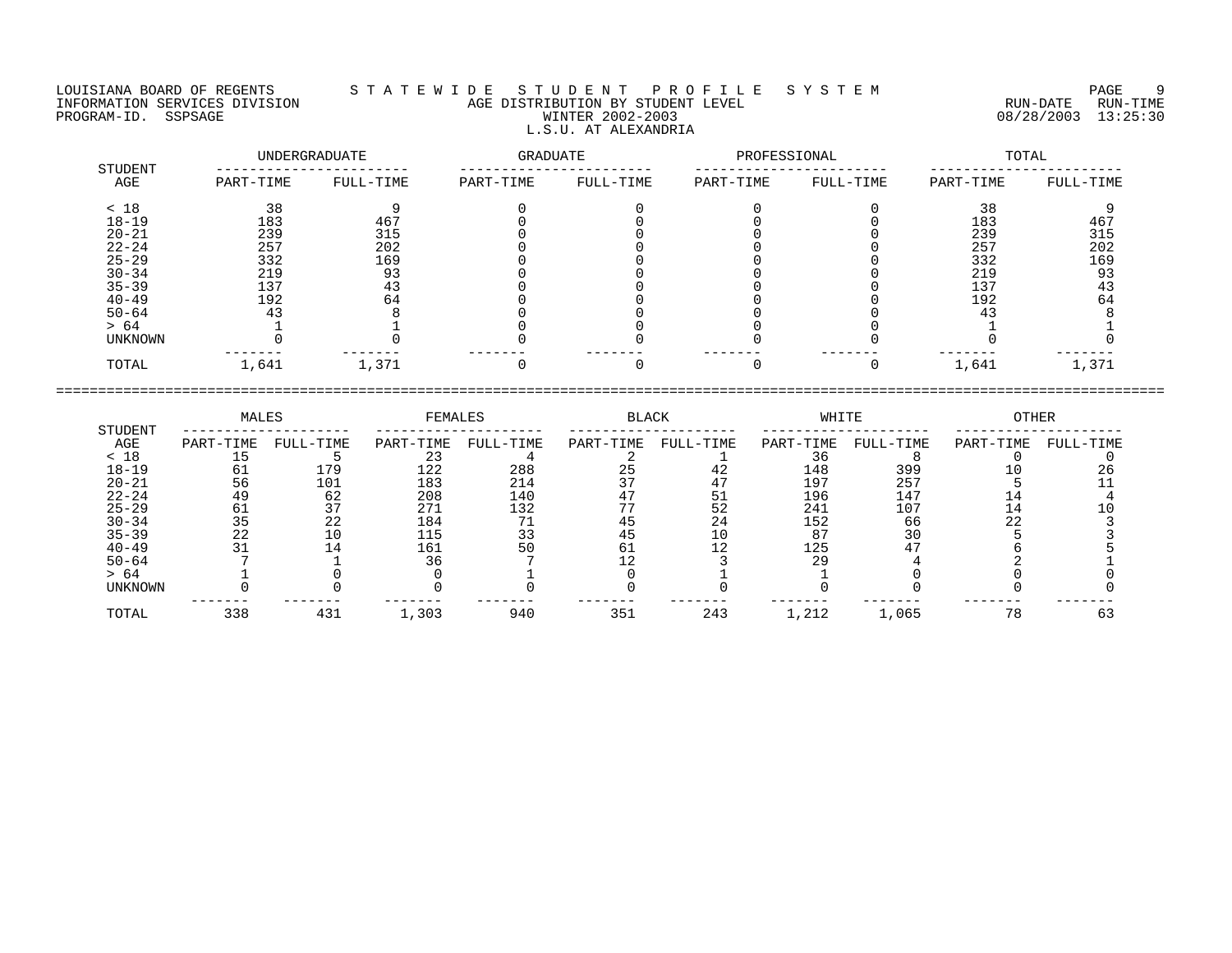## LOUISIANA BOARD OF REGENTS S T A T E W I D E S T U D E N T P R O F I L E S Y S T E M PAGE 9 INFORMATION SERVICES DIVISION AGE DISTRIBUTION BY STUDENT LEVEL RUN-DATE RUN-TIME NEORMATION SERVICES DIVISION CONTRACT CONTRACT AGE DISTRIBUTION BY STUDENT LEVEL CONTRACTION SERVICES DIVISION<br>PROGRAM-ID. SSPSAGE PUN-TIME WINTER 2002-2003 08/28/2003 13:25:30 L.S.U. AT ALEXANDRIA

|                | UNDERGRADUATE |           | GRADUATE  |           | PROFESSIONAL |           | TOTAL     |           |  |
|----------------|---------------|-----------|-----------|-----------|--------------|-----------|-----------|-----------|--|
| STUDENT<br>AGE | PART-TIME     | FULL-TIME | PART-TIME | FULL-TIME | PART-TIME    | FULL-TIME | PART-TIME | FULL-TIME |  |
| < 18           | 38            |           |           |           |              |           | 38        |           |  |
| $18 - 19$      | 183           | 467       |           |           |              |           | 183       | 467       |  |
| $20 - 21$      | 239           | 315       |           |           |              |           | 239       | 315       |  |
| $22 - 24$      | 257           | 202       |           |           |              |           | 257       | 202       |  |
| $25 - 29$      | 332           | 169       |           |           |              |           | 332       | 169       |  |
| $30 - 34$      | 219           | 93        |           |           |              |           | 219       | 93        |  |
| $35 - 39$      | 137           | 43        |           |           |              |           | 137       | 43        |  |
| $40 - 49$      | 192           | 64        |           |           |              |           | 192       | 64        |  |
| $50 - 64$      | 43            |           |           |           |              |           | 43        |           |  |
| > 64           |               |           |           |           |              |           |           |           |  |
| UNKNOWN        |               |           |           |           |              |           |           |           |  |
| TOTAL          | 1,641         | 1,371     |           |           |              |           | 1,641     | 1,371     |  |

|                | MALES     |           | FEMALES   |           | <b>BLACK</b> |           | WHITE     |           | OTHER     |           |
|----------------|-----------|-----------|-----------|-----------|--------------|-----------|-----------|-----------|-----------|-----------|
| STUDENT<br>AGE | PART-TIME | FULL-TIME | PART-TIME | FULL-TIME | PART-TIME    | FULL-TIME | PART-TIME | FULL-TIME | PART-TIME | FULL-TIME |
| < 18           |           |           |           |           |              |           |           |           |           |           |
| $18 - 19$      | 61        | 179       | 122       | 288       | 25           | 42        | 148       | 399       |           |           |
| $20 - 21$      | 56        | 101       | 183       | 214       |              |           | 197       | 257       |           |           |
| $22 - 24$      | 49        | 62        | 208       | 140       |              |           | 196       | 147       | 14        |           |
| $25 - 29$      | 61        |           | 271       | 132       |              | 52        | 241       | 107       | 14        |           |
| $30 - 34$      |           | 22        | 184       | 71        |              | 24        | 152       | 66        | 22        |           |
| $35 - 39$      | 22        |           | 115       | 33        |              | 10        | 87        | 30        |           |           |
| $40 - 49$      |           |           | 161       | 50        | 61           |           | 125       |           |           |           |
| $50 - 64$      |           |           |           |           |              |           | 29        |           |           |           |
| > 64           |           |           |           |           |              |           |           |           |           |           |
| UNKNOWN        |           |           |           |           |              |           |           |           |           |           |
| TOTAL          | 338       | 431       | 1,303     | 940       | 351          | 243       | 1,212     | 1,065     | 78        | 63        |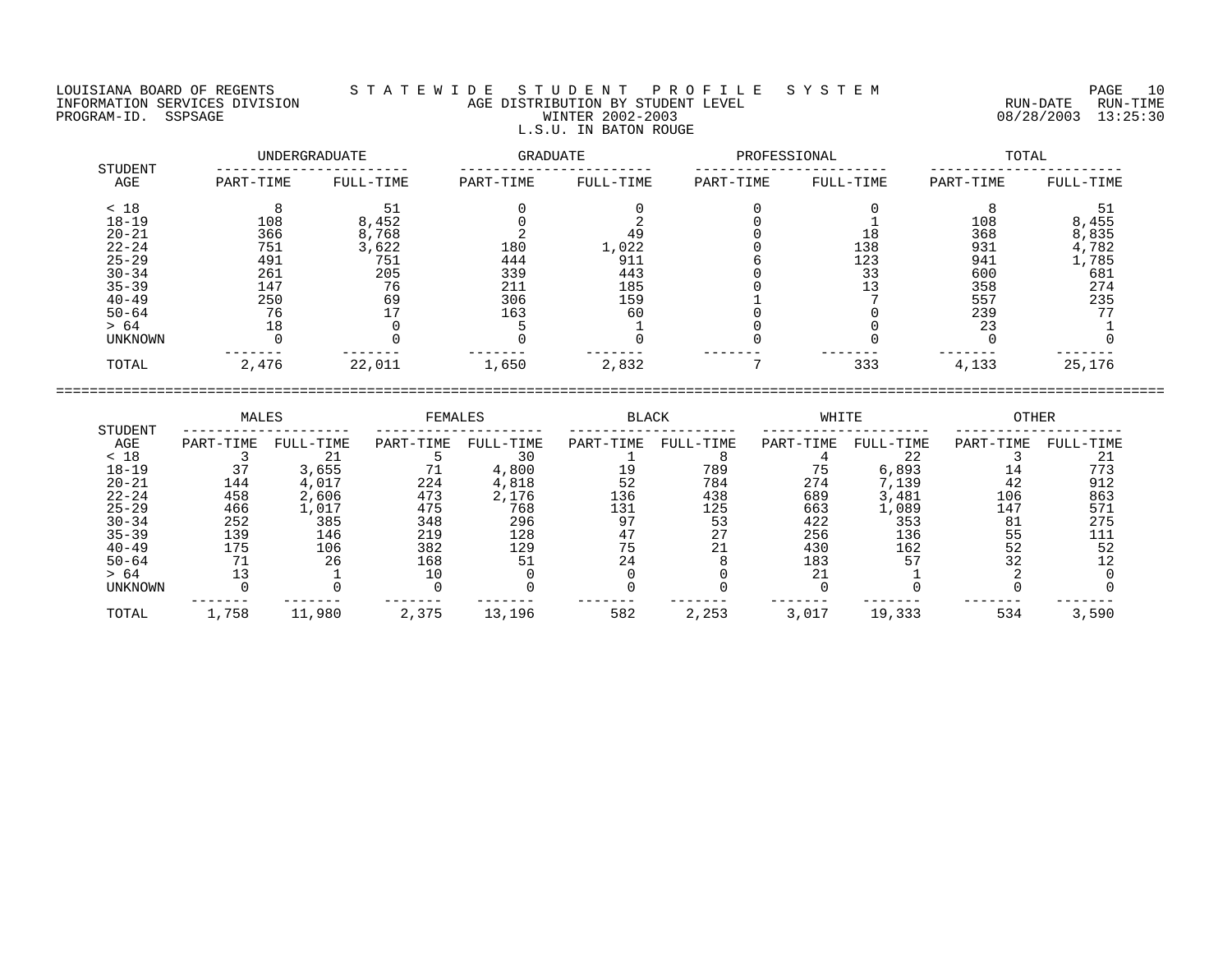## LOUISIANA BOARD OF REGENTS S T A T E W I D E S T U D E N T P R O F I L E S Y S T E M PAGE 10 INFORMATION SERVICES DIVISION AGE DISTRIBUTION BY STUDENT LEVEL RUN-DATE RUN-TIME ENFORMATION SERVICES DIVISION  $\begin{array}{c} 1 & 1 & 2 & \cdots & 1 \end{array}$  AGE DISTRIBUTION BY STUDENT LEVEL  $\begin{array}{c} 1 & 2 & 1 & 2 \end{array}$  . The services construction  $\begin{array}{c} 1 & 3 & 25 & 30 \end{array}$  PROGRAM-ID. SSPSAGE RUN-TIME L.S.U. IN BATON ROUGE

| STUDENT   |           | UNDERGRADUATE  | <b>GRADUATE</b> |           | PROFESSIONAL |           | TOTAL     |           |  |
|-----------|-----------|----------------|-----------------|-----------|--------------|-----------|-----------|-----------|--|
| AGE       | PART-TIME | FULL-TIME      | PART-TIME       | FULL-TIME | PART-TIME    | FULL-TIME | PART-TIME | FULL-TIME |  |
| < 18      | 8         | 51             |                 |           |              |           |           | 51        |  |
| $18 - 19$ | 108       | 8,452          |                 |           |              |           | 108       | 8,455     |  |
| $20 - 21$ | 366       | 8,768          |                 | 49        |              | 18        | 368       | 8,835     |  |
| $22 - 24$ | 751       | 3,622          | 180             | 1,022     |              | 138       | 931       | 4,782     |  |
| $25 - 29$ | 491       | 751            | 444             | 911       |              | 123       | 941       | 1,785     |  |
| $30 - 34$ | 261       | 205            | 339             | 443       |              | 33        | 600       | 681       |  |
| $35 - 39$ | 147       | 76             | 211             | 185       |              |           | 358       | 274       |  |
| $40 - 49$ | 250       | 69             | 306             | 159       |              |           | 557       | 235       |  |
| $50 - 64$ | 76        | 7 <sub>7</sub> | 163             | 60        |              |           | 239       | 77        |  |
| > 64      | 18        |                |                 |           |              |           | 23        |           |  |
| UNKNOWN   |           |                |                 |           |              |           |           |           |  |
| TOTAL     | 2,476     | 22,011         | 1,650           | 2,832     |              | 333       | 4,133     | 25,176    |  |

| STUDENT        | MALES     |           | FEMALES   |           | <b>BLACK</b> |                   | WHITE     |           | <b>OTHER</b> |           |
|----------------|-----------|-----------|-----------|-----------|--------------|-------------------|-----------|-----------|--------------|-----------|
| AGE            | PART-TIME | FULL-TIME | PART-TIME | FULL-TIME | PART-TIME    | FULL-TIME         | PART-TIME | FULL-TIME | PART-TIME    | FULL-TIME |
| < 18           |           | 21        |           | 30        |              |                   |           | 22        |              |           |
| $18 - 19$      |           | 3,655     |           | 4,800     | 19           | 789               | 75        | 6,893     | 14           |           |
| $20 - 21$      | 144       | 4,017     | 224       | 4,818     | 52           | 784               | 274       | 7,139     | 42           | 912       |
| $22 - 24$      | 458       | 2,606     | 473       | 2,176     | 136          | 438               | 689       | 3,481     | 106          | 863       |
| $25 - 29$      | 466       | 1,017     | 475       | 768       | 131          | 125               | 663       | 1,089     | 147          | 571       |
| $30 - 34$      | 252       | 385       | 348       | 296       | 97           | 53                | 422       | 353       | 81           | 275       |
| $35 - 39$      | 139       | 146       | 219       | 128       | $4^{\circ}$  | 27                | 256       | 136       | 55           |           |
| $40 - 49$      | 175       | 106       | 382       | 129       |              | $\bigcap$ 1<br>∠⊥ | 430       | 162       | 52           | 52        |
| $50 - 64$      |           | 26        | 168       |           | 24           |                   | 183       | 57        |              |           |
| > 64           |           |           |           |           |              |                   |           |           |              |           |
| <b>UNKNOWN</b> |           |           |           |           |              |                   |           |           |              |           |
| TOTAL          | 1,758     | 11,980    | 2,375     | 13,196    | 582          | 2,253             | 3,017     | 19,333    | 534          | 3,590     |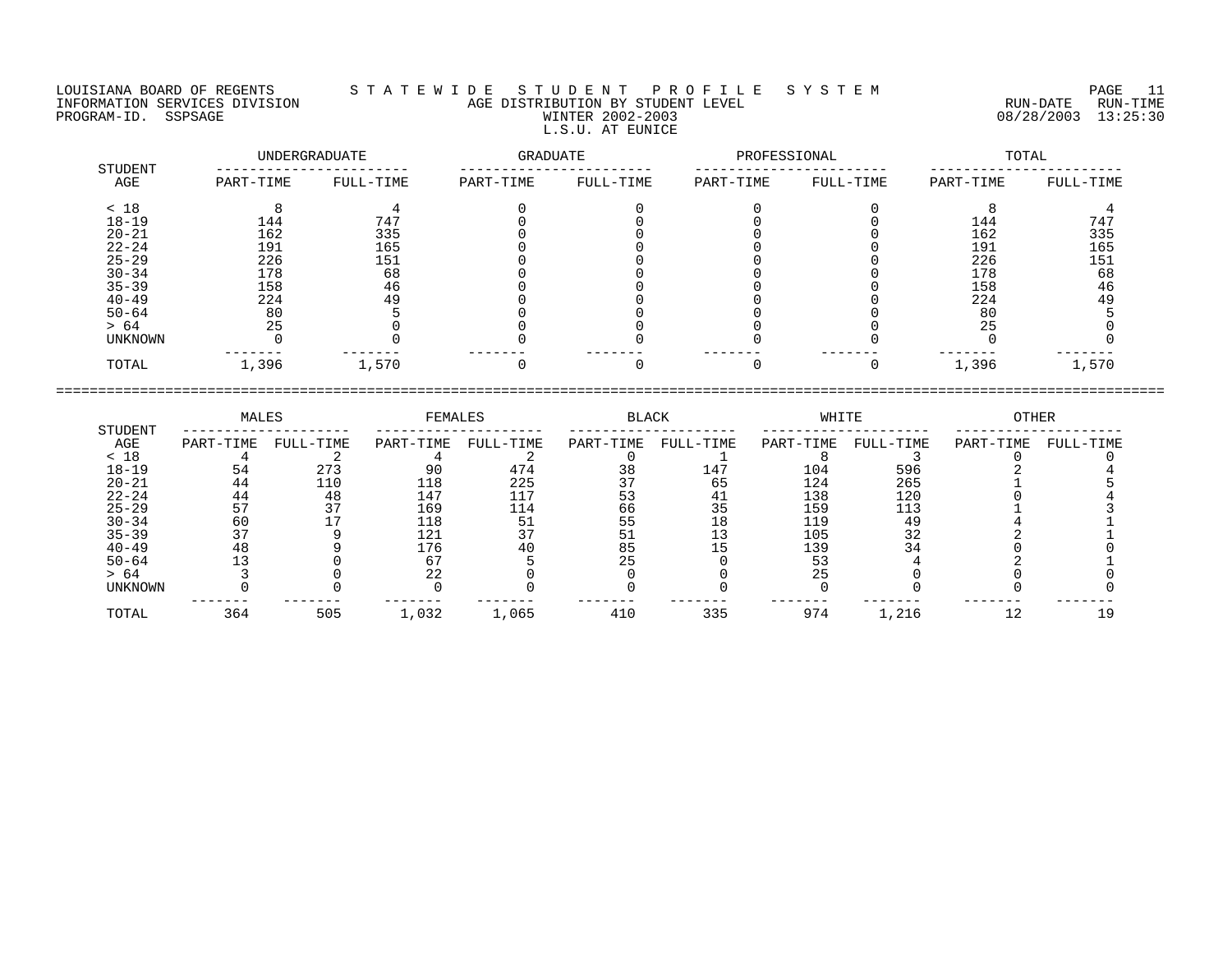LOUISIANA BOARD OF REGENTS S T A T E W I D E S T U D E N T P R O F I L E S Y S T E M PAGE 11 INFORMATION SERVICES DIVISION AGE DISTRIBUTION BY STUDENT LEVEL RUN-DATE RUN-TIME PROGRAM-ID. SSPSAGE WINTER 2002-2003 08/28/2003 13:25:30 L.S.U. AT EUNICE

|                |           | UNDERGRADUATE | GRADUATE  |           | PROFESSIONAL |           | TOTAL     |           |  |
|----------------|-----------|---------------|-----------|-----------|--------------|-----------|-----------|-----------|--|
| STUDENT<br>AGE | PART-TIME | FULL-TIME     | PART-TIME | FULL-TIME | PART-TIME    | FULL-TIME | PART-TIME | FULL-TIME |  |
| < 18           |           |               |           |           |              |           |           |           |  |
| $18 - 19$      | 144       | $74^{\circ}$  |           |           |              |           | 144       | 747       |  |
| $20 - 21$      | 162       | 335           |           |           |              |           | 162       | 335       |  |
| $22 - 24$      | 191       | 165           |           |           |              |           | 191       | 165       |  |
| $25 - 29$      | 226       | 151           |           |           |              |           | 226       | 151       |  |
| $30 - 34$      | 178       | 68            |           |           |              |           | 178       | 68        |  |
| $35 - 39$      | 158       | 46            |           |           |              |           | 158       | 46        |  |
| $40 - 49$      | 224       | 49            |           |           |              |           | 224       | 49        |  |
| $50 - 64$      | 80        |               |           |           |              |           | 80        |           |  |
| > 64           | 25        |               |           |           |              |           | 25        |           |  |
| <b>UNKNOWN</b> |           |               |           |           |              |           |           |           |  |
| TOTAL          | 1,396     | 1,570         |           |           |              |           | 1,396     | 1,570     |  |
|                |           |               |           |           |              |           |           |           |  |

|                        | MALES     |           | FEMALES    |            | BLACK     |           | WHITE      |            | OTHER     |           |
|------------------------|-----------|-----------|------------|------------|-----------|-----------|------------|------------|-----------|-----------|
| STUDENT<br>AGE<br>< 18 | PART-TIME | FULL-TIME | PART-TIME  | FULL-TIME  | PART-TIME | FULL-TIME | PART-TIME  | FULL-TIME  | PART-TIME | FULL-TIME |
| $18 - 19$              | 54        | 273       | 90         | 474        | 38        | 147       | 104        | 596        |           |           |
| $20 - 21$<br>$22 - 24$ | 44<br>44  | 110<br>48 | 118<br>147 | 225<br>117 |           | 65<br>41  | 124<br>138 | 265<br>120 |           |           |
| $25 - 29$              | 57        | 37        | 169        | 114        | 66        |           | 159        | 113        |           |           |
| $30 - 34$              | 60        |           | 118        | -51        | 55        |           | 119        | 49         |           |           |
| $35 - 39$<br>$40 - 49$ | 48        |           | 121<br>176 |            | 85        |           | 105<br>139 | 32         |           |           |
| $50 - 64$              |           |           |            |            | 25        |           | 53         |            |           |           |
| > 64<br>UNKNOWN        |           |           |            |            |           |           |            |            |           |           |

TOTAL 364 505 1,032 1,065 410 335 974 1,216 12 19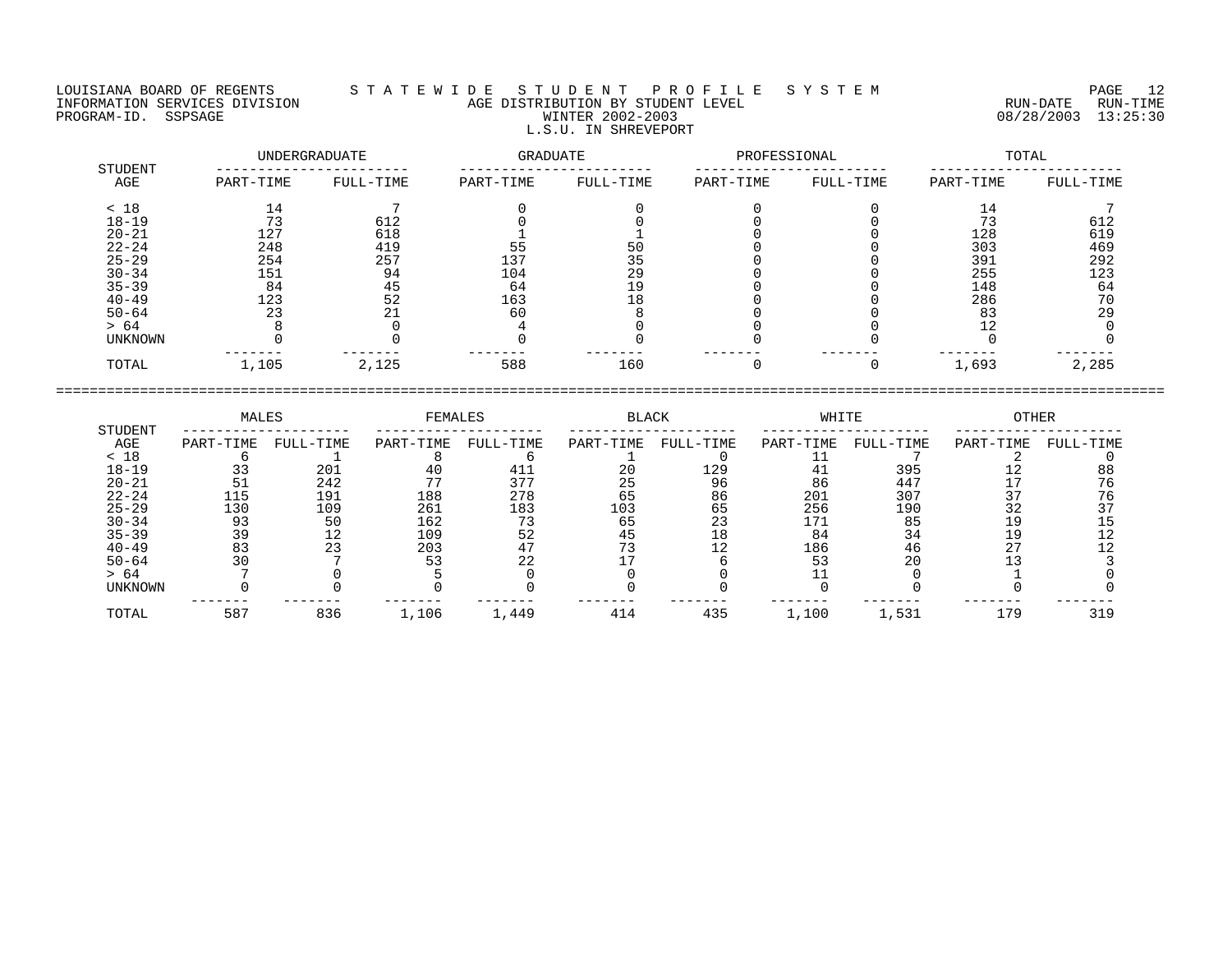## LOUISIANA BOARD OF REGENTS S T A T E W I D E S T U D E N T P R O F I L E S Y S T E M PAGE 12 INFORMATION SERVICES DIVISION AGE DISTRIBUTION BY STUDENT LEVEL RUN-DATE RUN-TIME PROGRAM-ID. SSPSAGE PROGRAM-ID. SSPSAGE PROGRAM-ID. SSPSAGE WINTER 2002-2003 08/28/2003 13:25:30 L.S.U. IN SHREVEPORT

|                | UNDERGRADUATE |           | <b>GRADUATE</b> |           | PROFESSIONAL |           | TOTAL     |           |  |
|----------------|---------------|-----------|-----------------|-----------|--------------|-----------|-----------|-----------|--|
| STUDENT<br>AGE | PART-TIME     | FULL-TIME | PART-TIME       | FULL-TIME | PART-TIME    | FULL-TIME | PART-TIME | FULL-TIME |  |
| < 18           | 14            |           |                 |           |              |           | 14        |           |  |
| $18 - 19$      | 73            | 612       |                 |           |              |           | 73        | 612       |  |
| $20 - 21$      | 127           | 618       |                 |           |              |           | 128       | 619       |  |
| $22 - 24$      | 248           | 419       | 55              | 50        |              |           | 303       | 469       |  |
| $25 - 29$      | 254           | 257       | 137             | 35        |              |           | 391       | 292       |  |
| $30 - 34$      | 151           | 94        | 104             | 29        |              |           | 255       | 123       |  |
| $35 - 39$      | 84            | 45        | 64              | 19        |              |           | 148       | 64        |  |
| $40 - 49$      | 123           | 52        | 163             | 18        |              |           | 286       | 70        |  |
| $50 - 64$      | 23            | 21        | 60              |           |              |           | 83        | 29        |  |
| > 64           |               |           |                 |           |              |           | 12        |           |  |
| UNKNOWN        |               |           |                 |           |              |           |           |           |  |
| TOTAL          | 1,105         | 2,125     | 588             | 160       |              |           | 1,693     | 2,285     |  |

| STUDENT   | MALES     |           | FEMALES   |           | <b>BLACK</b> |           | WHITE     |           | <b>OTHER</b> |           |
|-----------|-----------|-----------|-----------|-----------|--------------|-----------|-----------|-----------|--------------|-----------|
| AGE       | PART-TIME | FULL-TIME | PART-TIME | FULL-TIME | PART-TIME    | FULL-TIME | PART-TIME | FULL-TIME | PART-TIME    | FULL-TIME |
| < 18      |           |           |           |           |              |           |           |           |              |           |
| $18 - 19$ |           | 201       |           | 411       | 20           | 129       | 4 1       | 395       |              | 88        |
| $20 - 21$ |           | 242       |           | 377       |              | 96        | 86        | 447       |              | 76        |
| $22 - 24$ | 115       | 191       | 188       | 278       | 65           | 86        | 201       | 307       |              |           |
| $25 - 29$ | 130       | 109       | 261       | 183       | 103          | 65        | 256       | 190       | 32           |           |
| $30 - 34$ | 93        | 50        | 162       | 73        | 65           | 23        |           | 85        |              |           |
| $35 - 39$ | 39        |           | 109       | 52        |              | 18        | 84        | 34        |              |           |
| $40 - 49$ |           |           | 203       |           |              |           | 186       | 46        |              |           |
| $50 - 64$ |           |           |           |           |              |           |           | 20        |              |           |
| > 64      |           |           |           |           |              |           |           |           |              |           |
| UNKNOWN   |           |           |           |           |              |           |           |           |              |           |
| TOTAL     | 587       | 836       | 1,106     | 1,449     | 414          | 435       | 1,100     | 1,531     | 179          | 319       |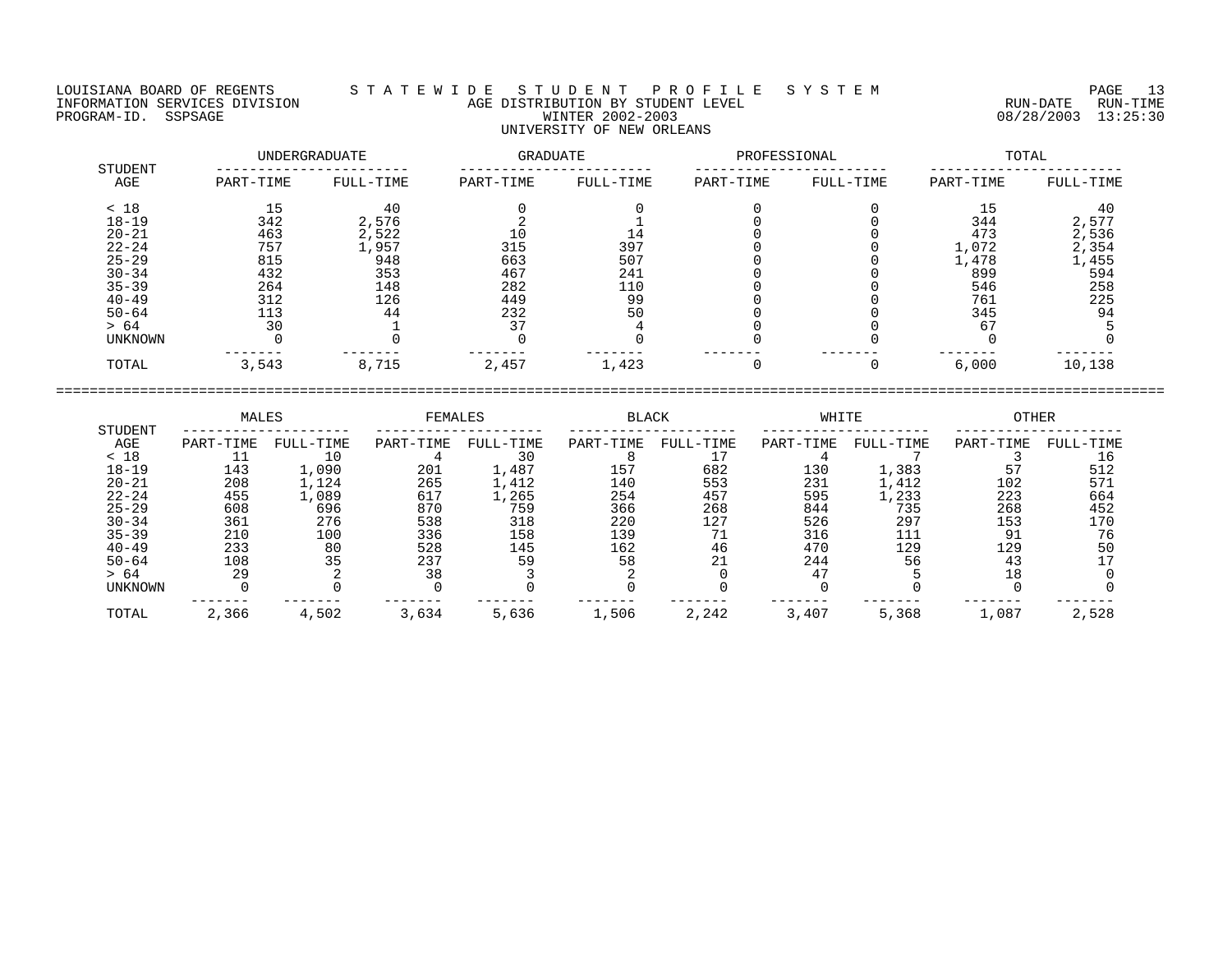LOUISIANA BOARD OF REGENTS S T A T E W I D E S T U D E N T P R O F I L E S Y S T E M PAGE 13 INFORMATION SERVICES DIVISION AGE DISTRIBUTION BY STUDENT LEVEL RUN-DATE RUN-TIME

## PROGRAM-ID. SSPSAGE WINTER 2002-2003 08/28/2003 13:25:30 UNIVERSITY OF NEW ORLEANS UNDERGRADUATE GRADUATE PROFESSIONAL TOTAL

| STUDENT        |           |           |           |           |           |           |           |           |
|----------------|-----------|-----------|-----------|-----------|-----------|-----------|-----------|-----------|
| AGE            | PART-TIME | FULL-TIME | PART-TIME | FULL-TIME | PART-TIME | FULL-TIME | PART-TIME | FULL-TIME |
| < 18           | 15        | 40        |           |           |           |           | 15        | 40        |
| $18 - 19$      | 342       | 2,576     |           |           |           |           | 344       | 2,577     |
| $20 - 21$      | 463       | 2,522     | 10        | 14        |           |           | 473       | 2,536     |
| $22 - 24$      | 757       | 1,957     | 315       | 397       |           |           | 1,072     | 2,354     |
| $25 - 29$      | 815       | 948       | 663       | 507       |           |           | 1,478     | 1,455     |
| $30 - 34$      | 432       | 353       | 467       | 241       |           |           | 899       | 594       |
| $35 - 39$      | 264       | 148       | 282       | 110       |           |           | 546       | 258       |
| $40 - 49$      | 312       | 126       | 449       | 99        |           |           | 761       | 225       |
| $50 - 64$      | 113       | 44        | 232       | 50        |           |           | 345       | 94        |
| > 64           | 30        |           | 37        |           |           |           | 67        |           |
| <b>UNKNOWN</b> |           |           |           |           |           |           |           |           |
| TOTAL          | 3,543     | 8,715     | 2,457     | 1,423     |           |           | 6,000     | 10,138    |

|                | MALES     |           | <b>FEMALES</b> |           | <b>BLACK</b> |           | WHITE       |           | OTHER     |           |
|----------------|-----------|-----------|----------------|-----------|--------------|-----------|-------------|-----------|-----------|-----------|
| STUDENT<br>AGE | PART-TIME | FULL-TIME | PART-TIME      | FULL-TIME | PART-TIME    | FULL-TIME | PART-TIME   | FULL-TIME | PART-TIME | FULL-TIME |
| < 18           |           | 10        |                | 30        |              |           |             |           |           | 16        |
| $18 - 19$      | 143       | 1,090     | 201            | 1,487     | 157          | 682       | 130         | 1,383     | 57        | 512       |
| $20 - 21$      | 208       | 1,124     | 265            | 1,412     | 140          | 553       | 231         | 1,412     | 102       | 571       |
| $22 - 24$      | 455       | 1,089     | 617            | 1,265     | 254          | 457       | 595         | 1,233     | 223       | 664       |
| $25 - 29$      | 608       | 696       | 870            | 759       | 366          | 268       | 844         | 735       | 268       | 452       |
| $30 - 34$      | 361       | 276       | 538            | 318       | 220          | 127       | 526         | 297       | 153       | 170       |
| $35 - 39$      | 210       | 100       | 336            | 158       | 139          | 71        | 316         |           | 91        | 76        |
| $40 - 49$      | 233       | 80        | 528            | 145       | 162          | 46        | 470         | 129       | 129       | 50        |
| $50 - 64$      | 108       | 35        | 237            | 59        | 58           | 21        | 244         | 56        | 43        |           |
| > 64           | 29        |           | 38             |           |              |           | $4^{\circ}$ |           | 18        |           |
| <b>UNKNOWN</b> |           |           |                |           |              |           |             |           |           |           |
| TOTAL          | 2,366     | 4,502     | 3,634          | 5,636     | 1,506        | 2,242     | 3,407       | 5,368     | 1,087     | 2,528     |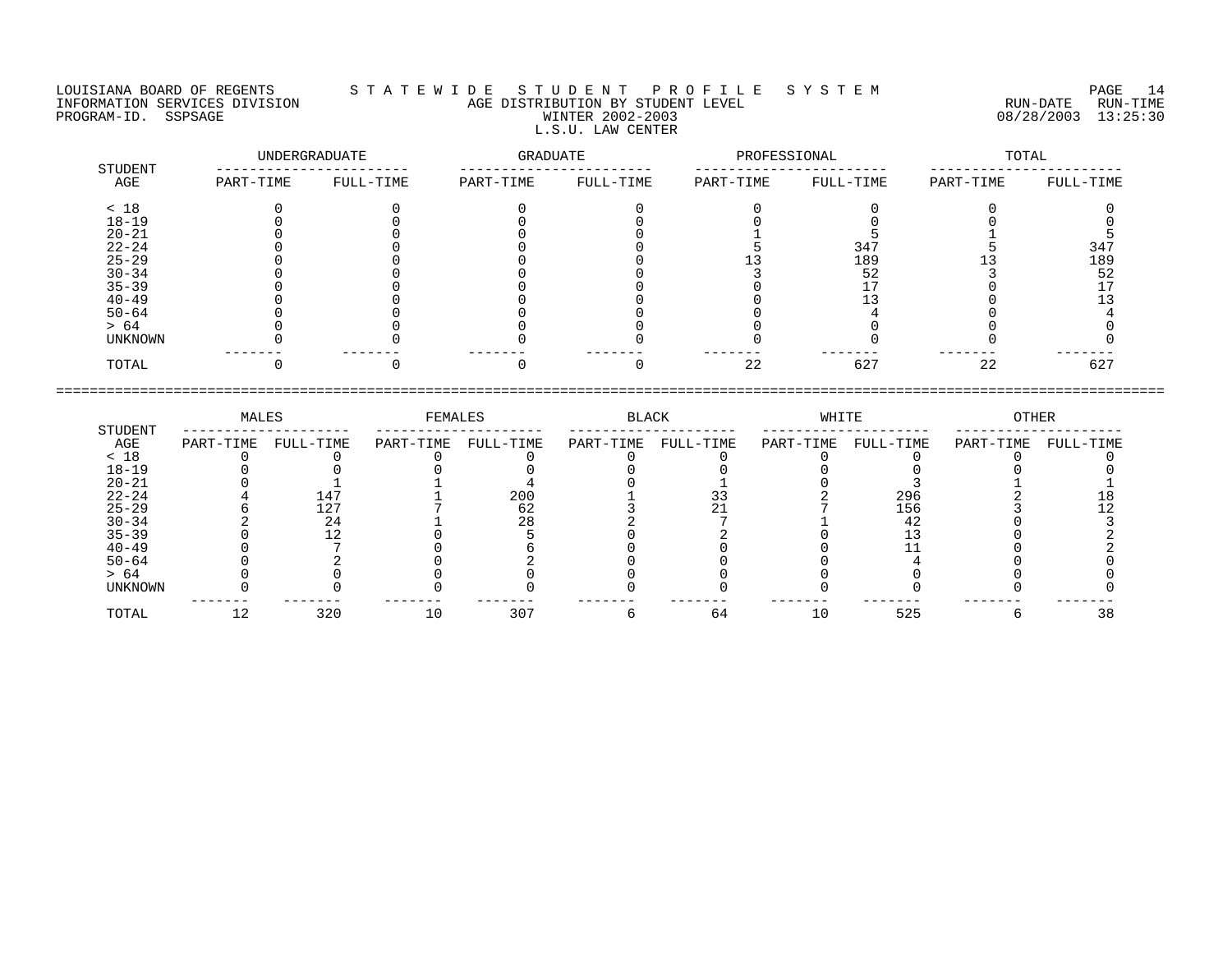## LOUISIANA BOARD OF REGENTS S T A T E W I D E S T U D E N T P R O F I L E S Y S T E M PAGE 14 INFORMATION SERVICES DIVISION AGE DISTRIBUTION BY STUDENT LEVEL RUN-DATE RUN-TIME NEORMATION SERVICES DIVISION CONTRACT TO AGE DISTRIBUTION BY STUDENT LEVEL CONTRACTION SERVICES DIVISION CONTRA<br>PROGRAM-ID. SSPSAGE PUN-TIME WINTER 2002-2003 08/28/2003 13:25:30 L.S.U. LAW CENTER

|                | UNDERGRADUATE |           | GRADUATE  |           | PROFESSIONAL |           | TOTAL     |           |
|----------------|---------------|-----------|-----------|-----------|--------------|-----------|-----------|-----------|
| STUDENT<br>AGE | PART-TIME     | FULL-TIME | PART-TIME | FULL-TIME | PART-TIME    | FULL-TIME | PART-TIME | FULL-TIME |
| < 18           |               |           |           |           |              |           |           |           |
| $18 - 19$      |               |           |           |           |              |           |           |           |
| $20 - 21$      |               |           |           |           |              |           |           |           |
| $22 - 24$      |               |           |           |           |              | 347       |           | 347       |
| $25 - 29$      |               |           |           |           |              | 189       |           | 189       |
| $30 - 34$      |               |           |           |           |              | 52        |           | 52        |
| $35 - 39$      |               |           |           |           |              |           |           |           |
| $40 - 49$      |               |           |           |           |              |           |           |           |
| $50 - 64$      |               |           |           |           |              |           |           |           |
| > 64           |               |           |           |           |              |           |           |           |
| UNKNOWN        |               |           |           |           |              |           |           |           |
| TOTAL          |               |           |           |           | 22           | 627       | 22        | 627       |

|                | MALES     |           | FEMALES   |           | BLACK     |           | WHITE     |           | OTHER     |           |
|----------------|-----------|-----------|-----------|-----------|-----------|-----------|-----------|-----------|-----------|-----------|
| STUDENT<br>AGE | PART-TIME | FULL-TIME | PART-TIME | FULL-TIME | PART-TIME | FULL-TIME | PART-TIME | FULL-TIME | PART-TIME | FULL-TIME |
| < 18           |           |           |           |           |           |           |           |           |           |           |
| $18 - 19$      |           |           |           |           |           |           |           |           |           |           |
| $20 - 21$      |           |           |           |           |           |           |           |           |           |           |
| $22 - 24$      |           | 147       |           | 200       |           |           |           | 296       |           |           |
| $25 - 29$      |           | 127       |           | 62        |           |           |           | 156       |           |           |
| $30 - 34$      |           | 24        |           | 28        |           |           |           |           |           |           |
| $35 - 39$      |           |           |           |           |           |           |           |           |           |           |
| $40 - 49$      |           |           |           |           |           |           |           |           |           |           |
| $50 - 64$      |           |           |           |           |           |           |           |           |           |           |
| > 64           |           |           |           |           |           |           |           |           |           |           |
| UNKNOWN        |           |           |           |           |           |           |           |           |           |           |
| TOTAL          | 12        | 320       |           | 307       |           | 64        | 10        | 525       |           |           |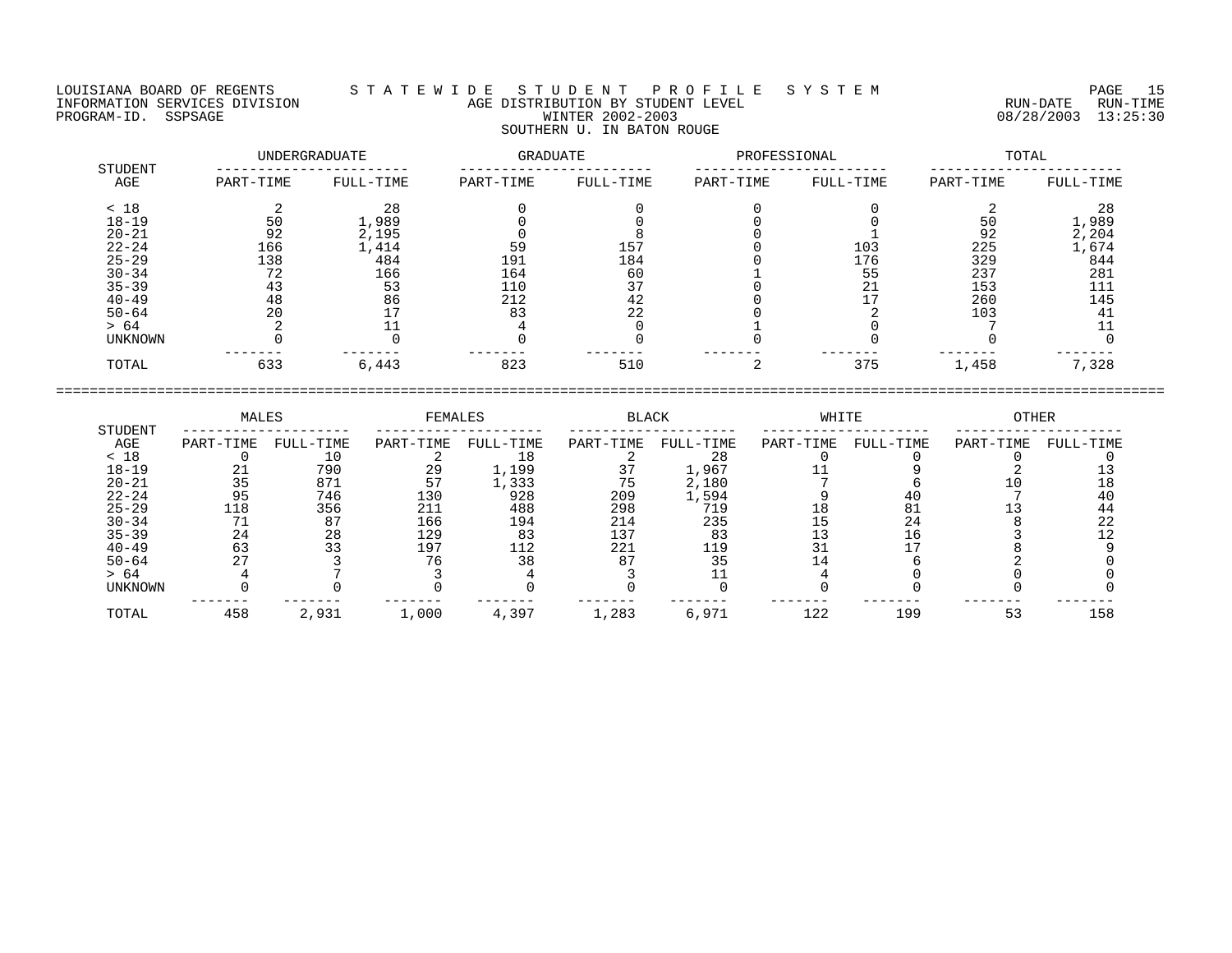## LOUISIANA BOARD OF REGENTS S T A T E W I D E S T U D E N T P R O F I L E S Y S T E M PAGE 15 INFORMATION SERVICES DIVISION AGE DISTRIBUTION BY STUDENT LEVEL RUN-DATE RUN-TIME PROGRAM-ID. SSPSAGE PROGRAM-ID. SSPSAGE PROGRAM-ID. SSPSAGE WINTER 2002-2003 08/28/2003 13:25:30 SOUTHERN U. IN BATON ROUGE

| <b>STUDENT</b> |           | UNDERGRADUATE | GRADUATE  |           | PROFESSIONAL |           |           | TOTAL     |
|----------------|-----------|---------------|-----------|-----------|--------------|-----------|-----------|-----------|
| AGE            | PART-TIME | FULL-TIME     | PART-TIME | FULL-TIME | PART-TIME    | FULL-TIME | PART-TIME | FULL-TIME |
| < 18           |           | 28            |           |           |              |           |           | 28        |
| $18 - 19$      | 50        | 1,989         |           |           |              |           | 50        | 1,989     |
| $20 - 21$      | 92        | 2,195         |           |           |              |           | 92        | 2,204     |
| $22 - 24$      | 166       | 1,414         | 59        | 157       |              | 103       | 225       | 1,674     |
| $25 - 29$      | 138       | 484           | 191       | 184       |              | 176       | 329       | 844       |
| $30 - 34$      | 72        | 166           | 164       | 60        |              | 55        | 237       | 281       |
| $35 - 39$      | 43        | 53            | 110       | 37        |              | 21        | 153       | 111       |
| $40 - 49$      | 48        | 86            | 212       | 42        |              |           | 260       | 145       |
| $50 - 64$      | 20        | 17            | 83        | 22        |              |           | 103       | 41        |
| > 64           |           |               |           |           |              |           |           | 11        |
| UNKNOWN        |           |               |           |           |              |           |           |           |
| TOTAL          | 633       | 6,443         | 823       | 510       |              | 375       | 1,458     | 7,328     |

| STUDENT        | MALES     |           | <b>FEMALES</b> |           | <b>BLACK</b> |           | WHITE     |           | <b>OTHER</b> |           |
|----------------|-----------|-----------|----------------|-----------|--------------|-----------|-----------|-----------|--------------|-----------|
| AGE            | PART-TIME | FULL-TIME | PART-TIME      | FULL-TIME | PART-TIME    | FULL-TIME | PART-TIME | FULL-TIME | PART-TIME    | FULL-TIME |
| < 18           |           | 10        |                | 18        |              | 28        |           |           |              |           |
| $18 - 19$      |           | 790       | 29             | 1,199     |              | 1,967     |           |           |              |           |
| $20 - 21$      | 35        | 871       | 57             | 1,333     |              | 2,180     |           |           |              |           |
| $22 - 24$      | 95        | 746       | 130            | 928       | 209          | 1,594     |           |           |              |           |
| $25 - 29$      | 118       | 356       | 211            | 488       | 298          | 719       |           |           |              | 44        |
| $30 - 34$      |           | 87        | 166            | 194       | 214          | 235       |           | 24        |              | 22        |
| $35 - 39$      | 24        | 28        | 129            | 83        | 137          | 83        |           | 16        |              |           |
| $40 - 49$      | 63        |           | 197            | 112       | 221          | 119       |           |           |              |           |
| $50 - 64$      |           |           |                | 38        | 87           | 35        |           |           |              |           |
| > 64           |           |           |                |           |              |           |           |           |              |           |
| <b>UNKNOWN</b> |           |           |                |           |              |           |           |           |              |           |
| TOTAL          | 458       | 2,931     | 1,000          | 4,397     | 1,283        | 6,971     | 122       | 199       | 53           | 158       |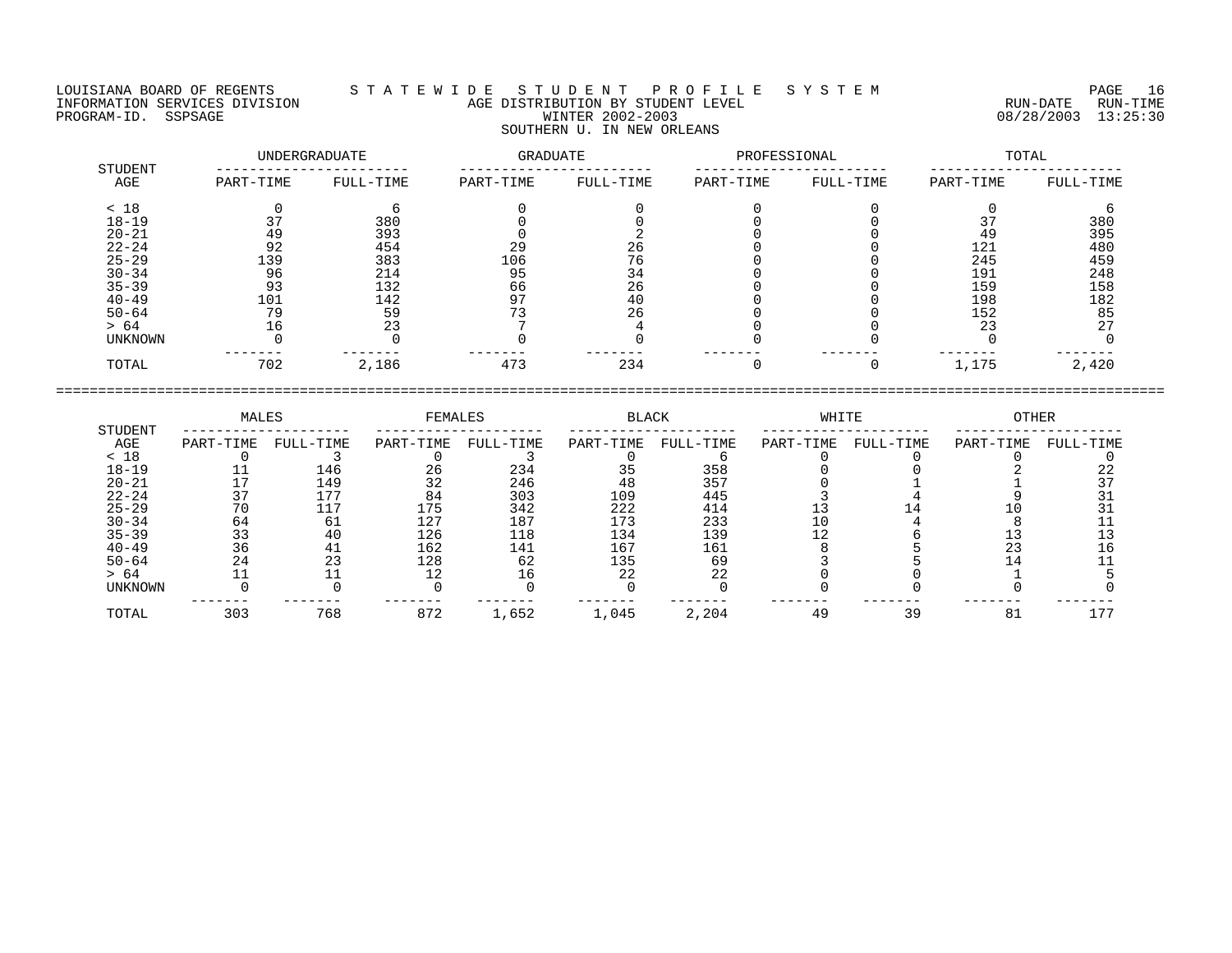## LOUISIANA BOARD OF REGENTS S T A T E W I D E S T U D E N T P R O F I L E S Y S T E M PAGE 16 INFORMATION SERVICES DIVISION AGE DISTRIBUTION BY STUDENT LEVEL RUN-DATE RUN-TIME PROGRAM-ID. SSPSAGE PROGRAM-ID. SSPSAGE PROGRAM-ID. SSPSAGE WINTER 2002-2003 08/28/2003 13:25:30 SOUTHERN U. IN NEW ORLEANS

|                |           | UNDERGRADUATE | GRADUATE  |           | PROFESSIONAL |           | TOTAL     |           |
|----------------|-----------|---------------|-----------|-----------|--------------|-----------|-----------|-----------|
| STUDENT<br>AGE | PART-TIME | FULL-TIME     | PART-TIME | FULL-TIME | PART-TIME    | FULL-TIME | PART-TIME | FULL-TIME |
| < 18           |           | h             |           |           |              |           |           |           |
| $18 - 19$      | 37        | 380           |           |           |              |           | 37        | 380       |
| $20 - 21$      | 49        | 393           |           |           |              |           | 49        | 395       |
| $22 - 24$      | 92        | 454           | 29        | 26        |              |           | 121       | 480       |
| $25 - 29$      | 139       | 383           | 106       | 76        |              |           | 245       | 459       |
| $30 - 34$      | 96        | 214           | 95        | 34        |              |           | 191       | 248       |
| $35 - 39$      | 93        | 132           | 66        | 26        |              |           | 159       | 158       |
| $40 - 49$      | 101       | 142           | 97        | 40        |              |           | 198       | 182       |
| $50 - 64$      | 79        | 59            | 73        | 26        |              |           | 152       | 85        |
| > 64           | 16        | 23            |           |           |              |           | 23        | 27        |
| UNKNOWN        |           |               |           |           |              |           |           |           |
| TOTAL          | 702       | 2,186         | 473       | 234       |              |           | 1,175     | 2,420     |

|                | MALES     |           | FEMALES   |           | <b>BLACK</b> |           | WHITE     |           | OTHER     |           |
|----------------|-----------|-----------|-----------|-----------|--------------|-----------|-----------|-----------|-----------|-----------|
| STUDENT<br>AGE | PART-TIME | FULL-TIME | PART-TIME | FULL-TIME | PART-TIME    | FULL-TIME | PART-TIME | FULL-TIME | PART-TIME | FULL-TIME |
| < 18           |           |           |           |           |              |           |           |           |           |           |
| $18 - 19$      |           | 146       | 26        | 234       | 35           | 358       |           |           |           |           |
| $20 - 21$      |           | 149       | 32        | 246       | 48           | 357       |           |           |           |           |
| $22 - 24$      |           | 177       | 84        | 303       | 109          | 445       |           |           |           |           |
| $25 - 29$      |           |           | 175       | 342       | 222          | 414       |           |           |           |           |
| $30 - 34$      | 64        | 61        | 127       | 187       | 173          | 233       |           |           |           |           |
| $35 - 39$      |           | 40        | 126       | 118       | 134          | 139       |           |           |           |           |
| $40 - 49$      | 36        |           | 162       | 141       | 167          | 161       |           |           |           |           |
| $50 - 64$      |           | 23        | 128       | 62        | 135          | 69        |           |           |           |           |
| > 64           |           |           |           |           | 22           | 22        |           |           |           |           |
| <b>UNKNOWN</b> |           |           |           |           |              |           |           |           |           |           |
| TOTAL          | 303       | 768       | 872       | 1,652     | 1,045        | 2,204     | 49        | 39        | 81        |           |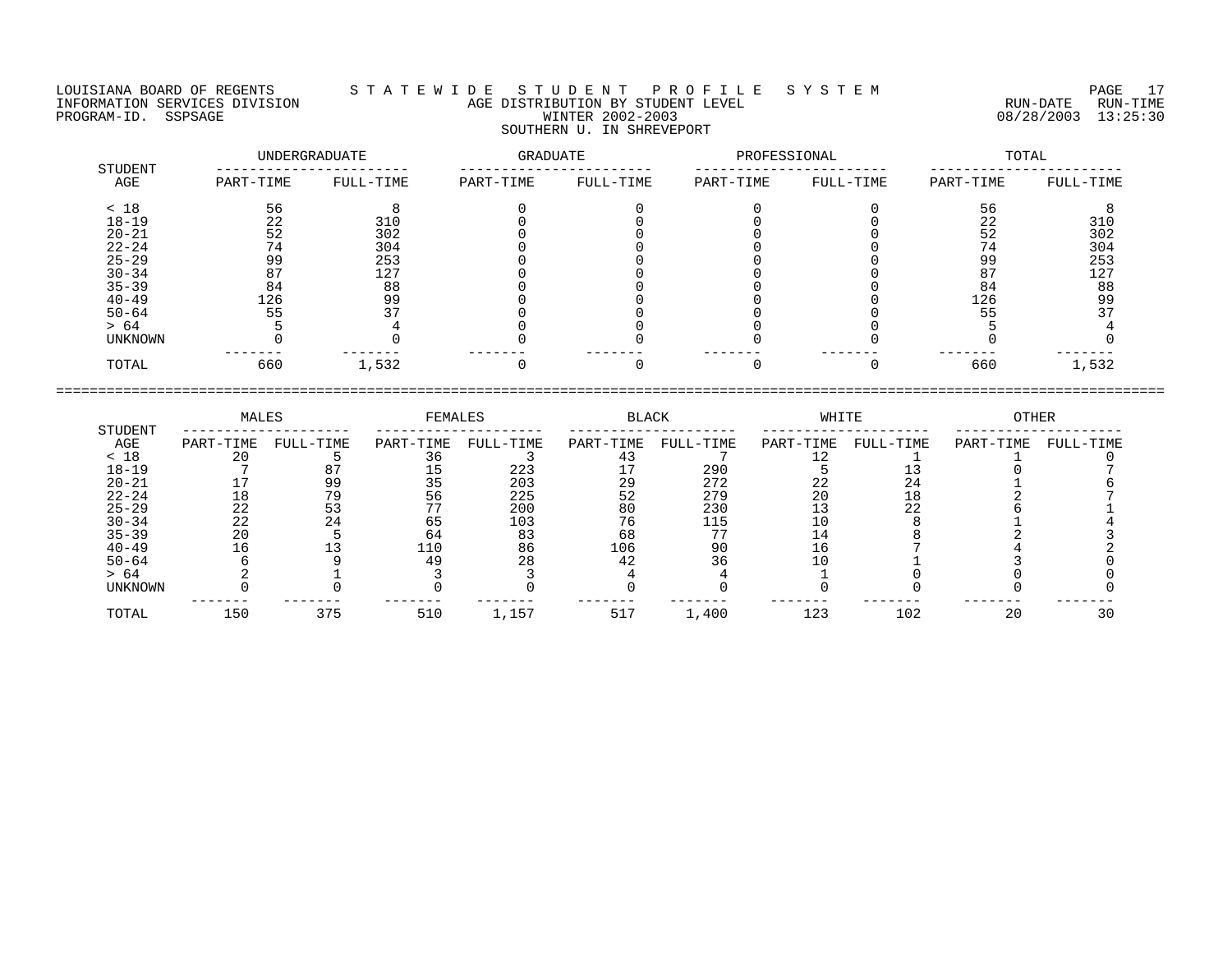LOUISIANA BOARD OF REGENTS S T A T E W I D E S T U D E N T P R O F I L E S Y S T E M PAGE 17 INFORMATION SERVICES DIVISION AGE DISTRIBUTION BY STUDENT LEVEL RUN-DATE RUN-TIME INFORMATION SERVICES DIVISION CONSUMERTY AGE DISTRIBUTION BY STUDENT LEVEL THE SAME RUN-DATE RUN-TIME RUN-TIME<br>PROGRAM-ID. SSPSAGE SERIES 30 SOUTHERN U. IN SHREVEPORT

## UNDERGRADUATE GRADUATE PROFESSIONAL TOTAL STUDENT ----------------------- ----------------------- ----------------------- ----------------------- AGE PART-TIME FULL-TIME PART-TIME FULL-TIME PART-TIME FULL-TIME PART-TIME FULL-TIME < 18 56 8 0 0 0 0 56 8 18-19 22 310 0 0 0 0 22 310 20-21 52 302 0 0 0 0 52 302 22-24 74 304 0 0 0 0 74 304 25-29 99 253 0 0 0 0 99 253 30-34 87 127 0 0 0 0 87 127 35-39 84 88 0 0 0 0 0 84 88 40-49 126 99 0 0 0 0 126 99 50-64 55 37 0 0 0 0 55 37 > 64 5 4 0 0 0 0 5 4 UNKNOWN 0 0 0 0 0 0 0 0 ------- ------- ------- ------- ------- ------- ------- ------- TOTAL 660 1,532 0 0 0 0 660 1,532

|           | MALES     |           | FEMALES   |           | BLACK     |           | WHITE     |           | OTHER     |           |
|-----------|-----------|-----------|-----------|-----------|-----------|-----------|-----------|-----------|-----------|-----------|
| STUDENT   |           |           |           |           |           |           |           |           |           |           |
| AGE       | PART-TIME | FULL-TIME | PART-TIME | FULL-TIME | PART-TIME | FULL-TIME | PART-TIME | FULL-TIME | PART-TIME | FULL-TIME |
| < 18      | 20        |           |           |           | 43        |           |           |           |           |           |
| $18 - 19$ |           |           | 15        | 223       |           | 290       |           |           |           |           |
| $20 - 21$ |           | 99        | 35        | 203       | 29        | 272       | 22        |           |           |           |
| $22 - 24$ | 18        | 79        | 56        | 225       | 52        | 279       | 20        |           |           |           |
| $25 - 29$ | 22        | 53        |           | 200       | 80        | 230       |           | 22        |           |           |
| $30 - 34$ | 22        | 24        | 65        | 103       | 76        | 115       | 10        |           |           |           |
| $35 - 39$ | 20        |           | 64        | 83        | 68        |           | 14        |           |           |           |
| $40 - 49$ | 16        |           | 110       | 86        | 106       | 90        | 16        |           |           |           |
| $50 - 64$ |           |           | 49        | 28        | 42        | 36        |           |           |           |           |
| > 64      |           |           |           |           |           |           |           |           |           |           |
| UNKNOWN   |           |           |           |           |           |           |           |           |           |           |
| TOTAL     | 150       | 375       | 510       | 1,157     | 517       | 1,400     | 123       | 102       | 20        |           |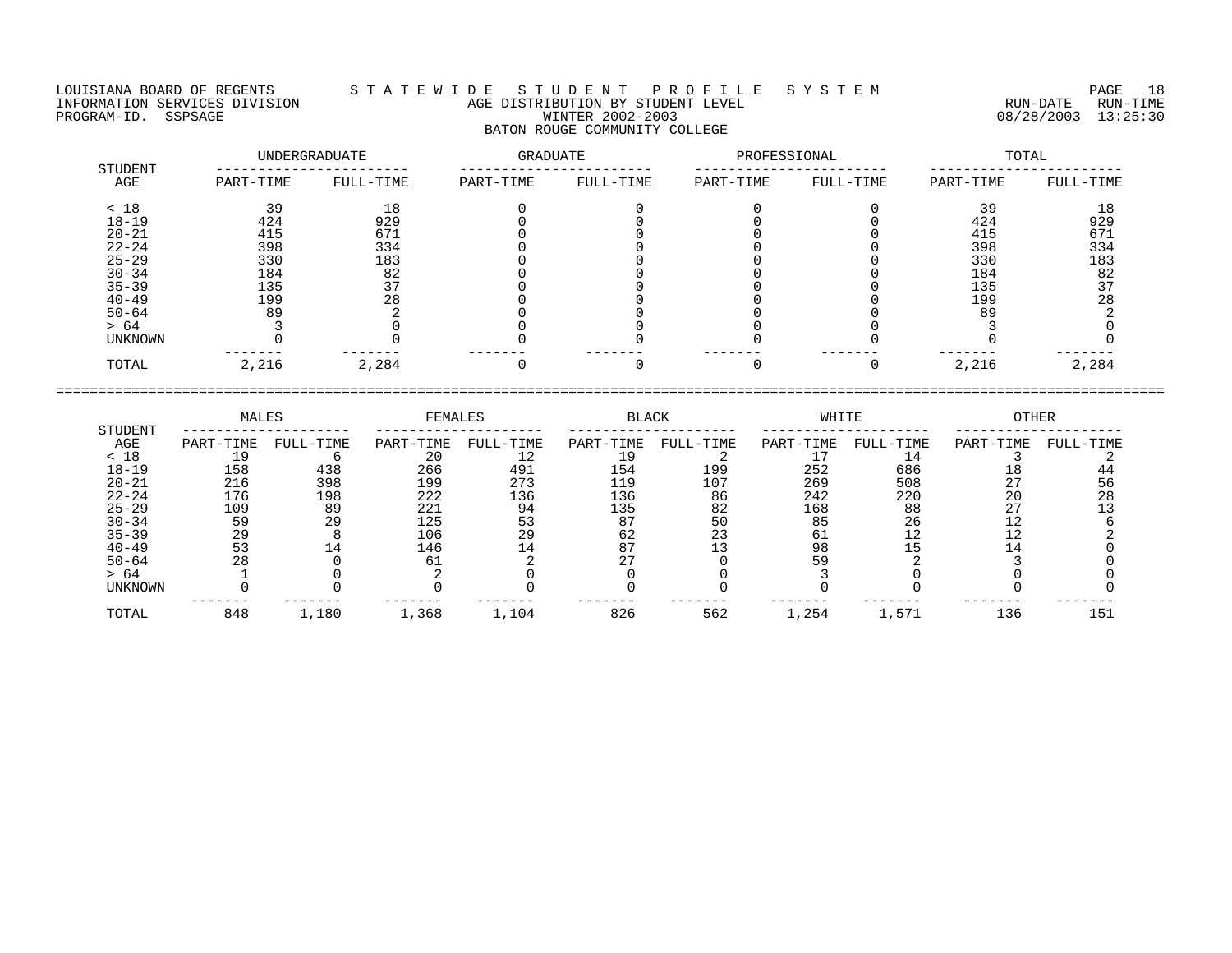LOUISIANA BOARD OF REGENTS S T A T E W I D E S T U D E N T P R O F I L E S Y S T E M PAGE 18 INFORMATION SERVICES DIVISION AGE DISTRIBUTION BY STUDENT LEVEL RUN-DATE RUN-TIME ENFORMATION SERVICES DIVISION  $\begin{array}{c} 1 & 1 & 2 & \cdots & 1 \end{array}$  age distribution by student level  $\begin{array}{c} 1 & 2 & \cdots & 1 \end{array}$  and  $\begin{array}{c} 1 & 2 & \cdots & 1 \end{array}$  and  $\begin{array}{c} 1 & 2 & \cdots & 1 \end{array}$   $\begin{array}{c} 0 & 0 & 0 \end{array}$   $\begin{array}{c} 0 & 0 & 0$ 

## BATON ROUGE COMMUNITY COLLEGE

| STUDENT   |           | UNDERGRADUATE | GRADUATE  |           | PROFESSIONAL |           |           | TOTAL     |
|-----------|-----------|---------------|-----------|-----------|--------------|-----------|-----------|-----------|
| AGE       | PART-TIME | FULL-TIME     | PART-TIME | FULL-TIME | PART-TIME    | FULL-TIME | PART-TIME | FULL-TIME |
| < 18      | 39        | 18            |           |           |              |           | 39        | 18        |
| $18 - 19$ | 424       | 929           |           |           |              |           | 424       | 929       |
| $20 - 21$ | 415       | 671           |           |           |              |           | 415       | 671       |
| $22 - 24$ | 398       | 334           |           |           |              |           | 398       | 334       |
| $25 - 29$ | 330       | 183           |           |           |              |           | 330       | 183       |
| $30 - 34$ | 184       | 82            |           |           |              |           | 184       | 82        |
| $35 - 39$ | 135       | 37            |           |           |              |           | 135       | 37        |
| $40 - 49$ | 199       | 28            |           |           |              |           | 199       | 28        |
| $50 - 64$ | 89        |               |           |           |              |           | 89        |           |
| > 64      |           |               |           |           |              |           |           |           |
| UNKNOWN   |           |               |           |           |              |           |           |           |
| TOTAL     | 2,216     | 2,284         |           |           |              |           | 2,216     | 2,284     |

|                | MALES     |           | FEMALES   |           | <b>BLACK</b> |           | WHITE     |           | <b>OTHER</b> |           |
|----------------|-----------|-----------|-----------|-----------|--------------|-----------|-----------|-----------|--------------|-----------|
| STUDENT<br>AGE | PART-TIME | FULL-TIME | PART-TIME | FULL-TIME | PART-TIME    | FULL-TIME | PART-TIME | FULL-TIME | PART-TIME    | FULL-TIME |
| < 18           |           |           | 20        |           |              |           |           |           |              |           |
| $18 - 19$      | 158       | 438       | 266       | 491       | 154          | 199       | 252       | 686       | 18           |           |
| $20 - 21$      | 216       | 398       | 199       | 273       | 119          | 107       | 269       | 508       | 27           | 56        |
| $22 - 24$      | 176       | 198       | 222       | 136       | 136          | 86        | 242       | 220       | 20           | 28        |
| $25 - 29$      | 109       | 89        | 221       | 94        | 135          | 82        | 168       | 88        |              |           |
| $30 - 34$      | 59        | 29        | 125       | 53        | 87           | 50        | 85        | 26        |              |           |
| $35 - 39$      | 29        |           | 106       | 29        | 62           | 23        | -61       |           |              |           |
| $40 - 49$      | 53        |           | 146       |           | 87           |           | 98        |           |              |           |
| $50 - 64$      | 28        |           | 61        |           |              |           | 59        |           |              |           |
| > 64           |           |           |           |           |              |           |           |           |              |           |
| UNKNOWN        |           |           |           |           |              |           |           |           |              |           |
| TOTAL          | 848       | 1,180     | 1,368     | 1,104     | 826          | 562       | l,254     | 1,571     | 136          | 151       |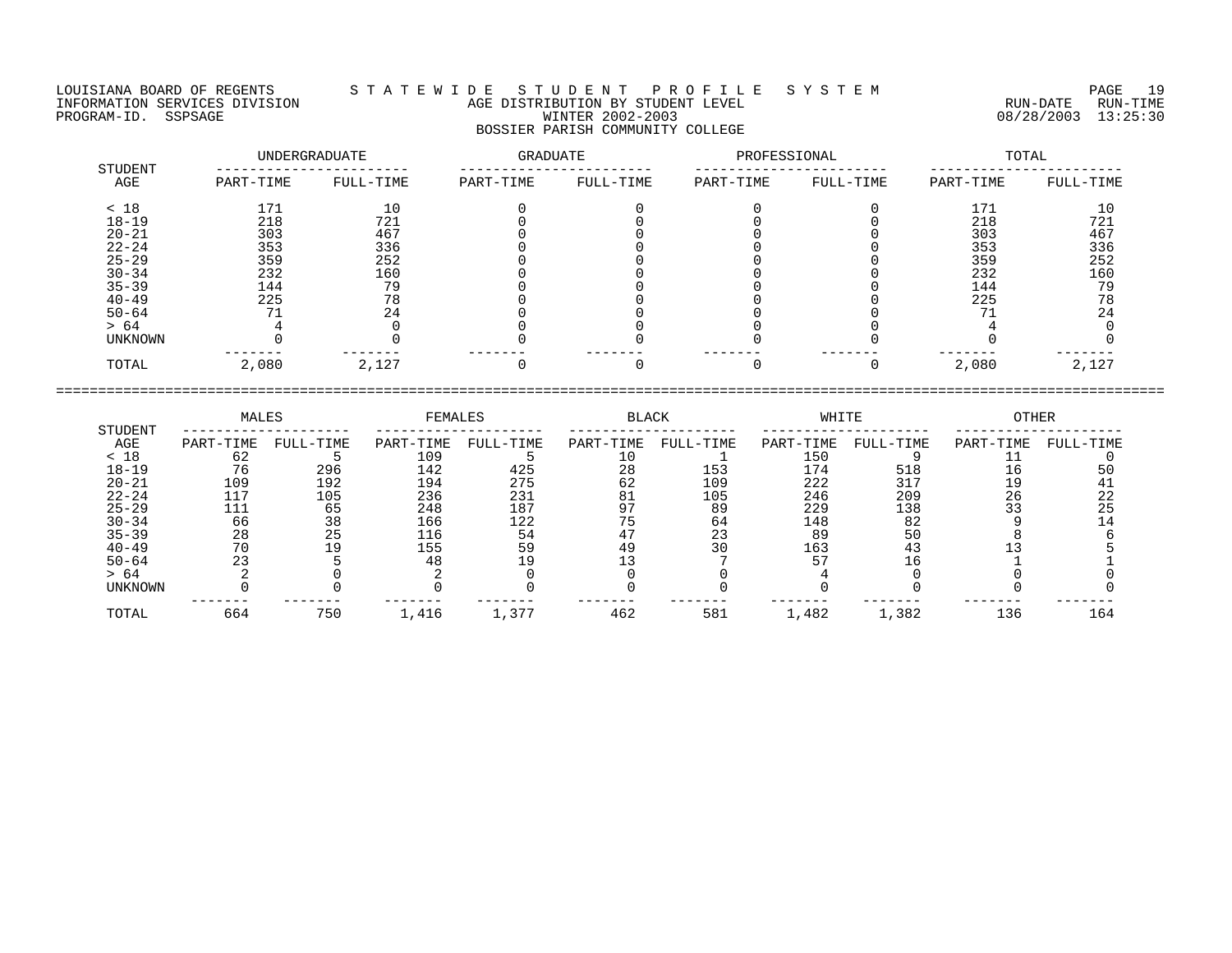## LOUISIANA BOARD OF REGENTS S T A T E W I D E S T U D E N T P R O F I L E S Y S T E M PAGE 19 INFORMATION SERVICES DIVISION AGE DISTRIBUTION BY STUDENT LEVEL RUN-DATE RUN-TIME PROGRAM-ID. SSPSAGE PROGRAM-ID. SSPSAGE PROGRAM-ID. SSPSAGE WINTER 2002-2003 08/28/2003 13:25:30 BOSSIER PARISH COMMUNITY COLLEGE

|           |                   |                                   |           |           |           |              | TOTAL             |
|-----------|-------------------|-----------------------------------|-----------|-----------|-----------|--------------|-------------------|
| PART-TIME | FULL-TIME         | PART-TIME                         | FULL-TIME | PART-TIME | FULL-TIME | PART-TIME    | FULL-TIME         |
|           |                   |                                   |           |           |           | 171          | 10                |
| 218       | 721               |                                   |           |           |           | 218          | 721               |
|           |                   |                                   |           |           |           |              | 467               |
| 353       | 336               |                                   |           |           |           | 353          | 336               |
| 359       | 252               |                                   |           |           |           | 359          | 252               |
|           |                   |                                   |           |           |           |              | 160               |
| 144       | 79                |                                   |           |           |           | 144          | 79                |
| 225       | 78                |                                   |           |           |           |              | 78                |
|           | 24                |                                   |           |           |           |              | 24                |
|           |                   |                                   |           |           |           |              |                   |
|           |                   |                                   |           |           |           |              |                   |
| 2,080     | 2,127             |                                   |           |           |           | 2,080        | 2,127             |
|           | 171<br>303<br>232 | UNDERGRADUATE<br>10<br>467<br>160 |           | GRADUATE  |           | PROFESSIONAL | 303<br>232<br>225 |

| STUDENT        | MALES     |           | FEMALES   |           | <b>BLACK</b> |           | WHITE     |           | OTHER     |           |
|----------------|-----------|-----------|-----------|-----------|--------------|-----------|-----------|-----------|-----------|-----------|
| AGE            | PART-TIME | FULL-TIME | PART-TIME | FULL-TIME | PART-TIME    | FULL-TIME | PART-TIME | FULL-TIME | PART-TIME | FULL-TIME |
| < 18           | 62        |           | 109       |           |              |           | 150       |           |           |           |
| $18 - 19$      | 76        | 296       | 142       | 425       | 28           | 153       | 174       | 518       | 16        |           |
| $20 - 21$      | 109       | 192       | 194       | 275       | 62           | 109       | 222       | 317       | 19        |           |
| $22 - 24$      | 117       | 105       | 236       | 231       | 81           | 105       | 246       | 209       | 26        | 22        |
| $25 - 29$      | 111       | 65        | 248       | 187       | 97           | 89        | 229       | 138       | 33        | 25        |
| $30 - 34$      | 66        | 38        | 166       | 122       |              | 64        | 148       | 82        |           |           |
| $35 - 39$      | 28        | 25        | 116       | 54        | 47           | 23        | 89        | 50        |           |           |
| $40 - 49$      | 70        | 19        | 155       | 59        | 49           | 30        | 163       |           |           |           |
| $50 - 64$      |           |           | 48        | 19        |              |           |           | 16        |           |           |
| > 64           |           |           |           |           |              |           |           |           |           |           |
| <b>UNKNOWN</b> |           |           |           |           |              |           |           |           |           |           |
| TOTAL          | 664       | 750       | 1,416     | 1,377     | 462          | 581       | 1,482     | 1,382     | 136       | 164       |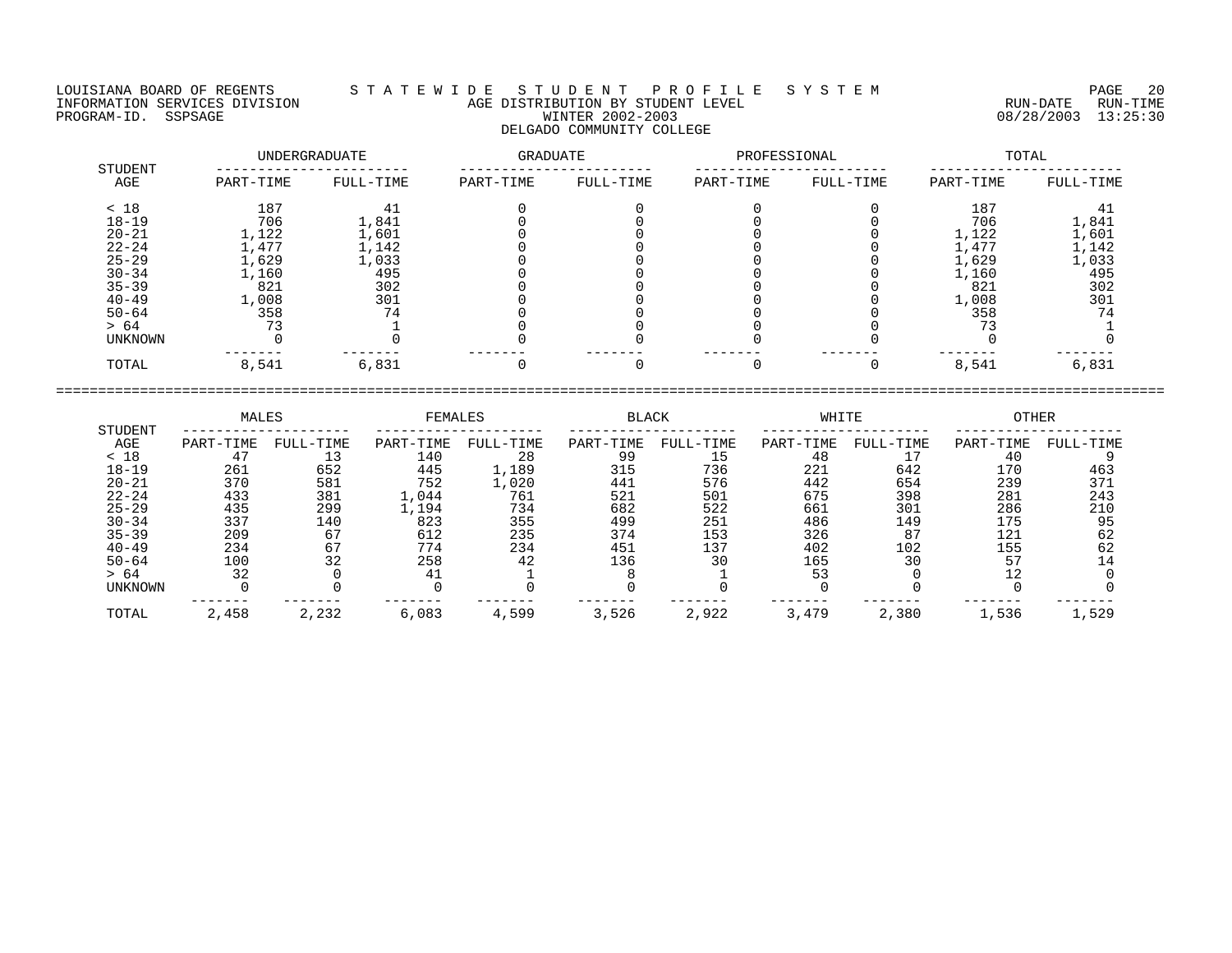LOUISIANA BOARD OF REGENTS S T A T E W I D E S T U D E N T P R O F I L E S Y S T E M PAGE 20 INFORMATION SERVICES DIVISION AGE DISTRIBUTION BY STUDENT LEVEL RUN-DATE RUN-TIME ENFORMATION SERVICES DIVISION  $\begin{array}{c} 1 & 1 & 2 & \cdots & 1 \end{array}$  AGE DISTRIBUTION BY STUDENT LEVEL  $\begin{array}{c} 1 & 2 & 1 & 2 \end{array}$  . The construction of the construction  $\begin{array}{c} 2 & 0 & 0 \end{array}$  and  $\begin{array}{c} 2 & 0 & 0 \end{array}$  and  $\begin{array}{c}$ 

# DELGADO COMMUNITY COLLEGE

|                |           | UNDERGRADUATE | <b>GRADUATE</b> |           | PROFESSIONAL |           | TOTAL     |           |  |
|----------------|-----------|---------------|-----------------|-----------|--------------|-----------|-----------|-----------|--|
| STUDENT<br>AGE | PART-TIME | FULL-TIME     | PART-TIME       | FULL-TIME | PART-TIME    | FULL-TIME | PART-TIME | FULL-TIME |  |
| < 18           | 187       | 41            |                 |           |              |           | 187       |           |  |
| $18 - 19$      | 706       | 1,841         |                 |           |              |           | 706       | 1,841     |  |
| $20 - 21$      | 1,122     | 1,601         |                 |           |              |           | 1,122     | 1,601     |  |
| $22 - 24$      | 1,477     | 1,142         |                 |           |              |           | .,477     | 1,142     |  |
| $25 - 29$      | 1,629     | 1,033         |                 |           |              |           | 1,629     | 1,033     |  |
| $30 - 34$      | 1,160     | 495           |                 |           |              |           | 1,160     | 495       |  |
| $35 - 39$      | 821       | 302           |                 |           |              |           | 821       | 302       |  |
| $40 - 49$      | 1,008     | 301           |                 |           |              |           | 1,008     | 301       |  |
| $50 - 64$      | 358       | 74            |                 |           |              |           | 358       | 74        |  |
| > 64           |           |               |                 |           |              |           |           |           |  |
| <b>UNKNOWN</b> |           |               |                 |           |              |           |           |           |  |
| TOTAL          | 8,541     | 6,831         |                 |           |              |           | 8,541     | 6,831     |  |

|                | MALES     |           | FEMALES   |           | <b>BLACK</b> |           | WHITE     |           | <b>OTHER</b> |           |
|----------------|-----------|-----------|-----------|-----------|--------------|-----------|-----------|-----------|--------------|-----------|
| STUDENT        |           |           |           |           |              |           |           |           |              |           |
| AGE            | PART-TIME | FULL-TIME | PART-TIME | FULL-TIME | PART-TIME    | FULL-TIME | PART-TIME | FULL-TIME | PART-TIME    | FULL-TIME |
| < 18           | 47        |           | 140       | 28        | 99           | 15        | 48        |           | 40           |           |
| $18 - 19$      | 261       | 652       | 445       | 1,189     | 315          | 736       | 221       | 642       | 170          | 463       |
| $20 - 21$      | 370       | 581       | 752       | 1,020     | 441          | 576       | 442       | 654       | 239          | 371       |
| $22 - 24$      | 433       | 381       | 1,044     | 761       | 521          | 501       | 675       | 398       | 281          | 243       |
| $25 - 29$      | 435       | 299       | .,194     | 734       | 682          | 522       | 661       | 301       | 286          | 210       |
| $30 - 34$      | 337       | 140       | 823       | 355       | 499          | 251       | 486       | 149       | 175          | 95        |
| $35 - 39$      | 209       | 67        | 612       | 235       | 374          | 153       | 326       | 87        | 121          | 62        |
| $40 - 49$      | 234       | 67        | 774       | 234       | 451          | 137       | 402       | 102       | 155          | 62        |
| $50 - 64$      | 100       | 32        | 258       | 42        | 136          | 30        | 165       | 30        | 57           |           |
| > 64           | 32        |           | 41        |           |              |           | 53        |           |              |           |
| <b>UNKNOWN</b> |           |           |           |           |              |           |           |           |              |           |
| TOTAL          | 2,458     | 2,232     | 6,083     | 4,599     | 3,526        | 2,922     | 3,479     | 2,380     | 1,536        | 1,529     |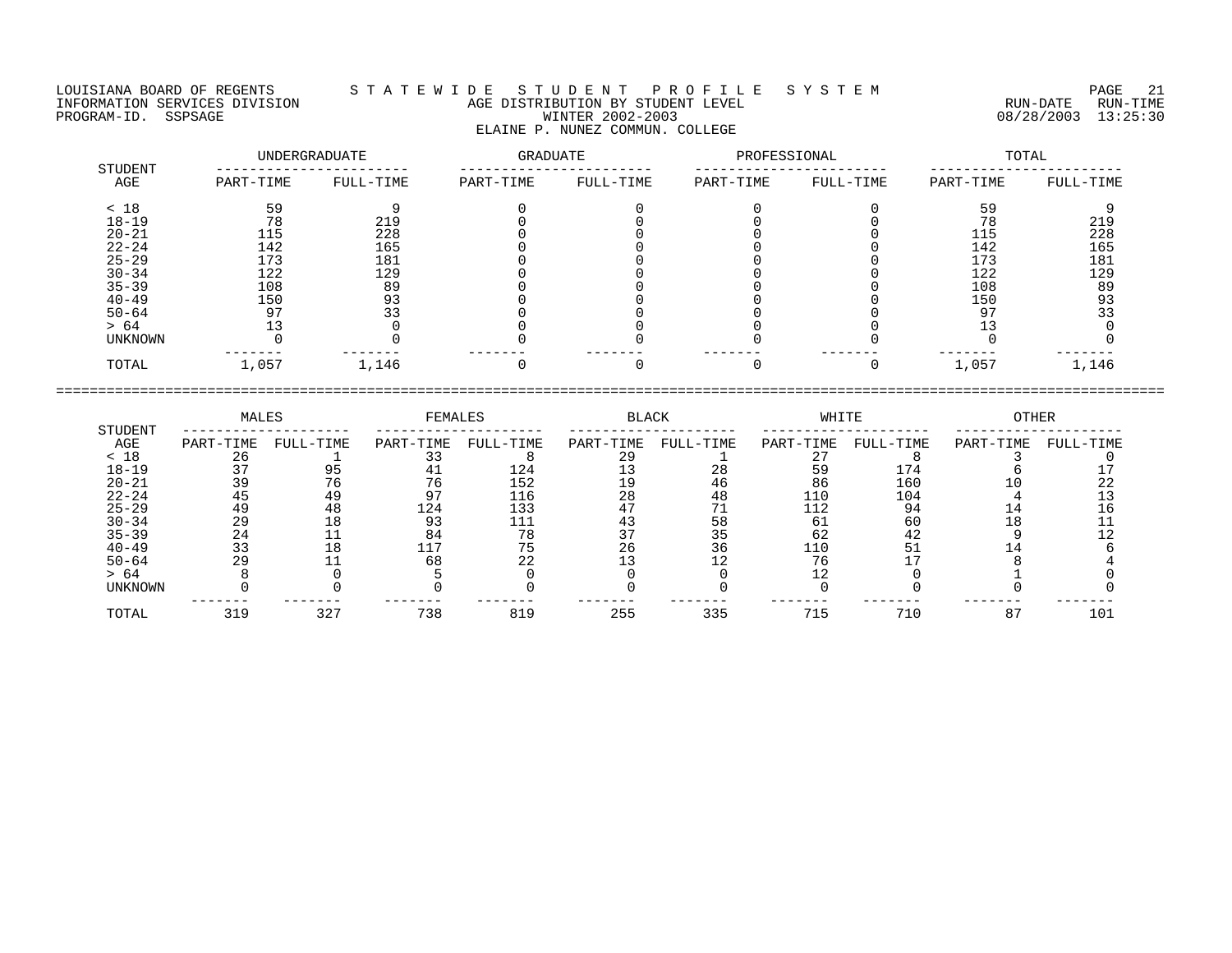## LOUISIANA BOARD OF REGENTS S T A T E W I D E S T U D E N T P R O F I L E S Y S T E M PAGE 21 INFORMATION SERVICES DIVISION AGE DISTRIBUTION BY STUDENT LEVEL RUN-DATE RUN-TIME ENFORMATION SERVICES DIVISION  $\begin{array}{c} 1 & 1 & 2 & \cdots & 1 \\ 0 & 0 & 0 & 0 \\ 0 & 0 & 0 & 0 \\ 0 & 0 & 0 & 0 \\ 0 & 0 & 0 & 0 \\ 0 & 0 & 0 & 0 \\ 0 & 0 & 0 & 0 \\ 0 & 0 & 0 & 0 \\ 0 & 0 & 0 & 0 \\ 0 & 0 & 0 & 0 \\ 0 & 0 & 0 & 0 \\ 0 & 0 & 0 & 0 \\ 0 & 0 & 0 & 0 \\ 0 & 0 & 0 & 0 \\ 0 & 0 & 0 & 0 \\$ ELAINE P. NUNEZ COMMUN. COLLEGE

| STUDENT   | UNDERGRADUATE |           | GRADUATE  |           | PROFESSIONAL |           | TOTAL     |           |
|-----------|---------------|-----------|-----------|-----------|--------------|-----------|-----------|-----------|
| AGE       | PART-TIME     | FULL-TIME | PART-TIME | FULL-TIME | PART-TIME    | FULL-TIME | PART-TIME | FULL-TIME |
| < 18      | 59            |           |           |           |              |           | 59        |           |
| $18 - 19$ | 78            | 219       |           |           |              |           | 78        | 219       |
| $20 - 21$ | 115           | 228       |           |           |              |           | 115       | 228       |
| $22 - 24$ | 142           | 165       |           |           |              |           | 142       | 165       |
| $25 - 29$ | 173           | 181       |           |           |              |           | 173       | 181       |
| $30 - 34$ | 122           | 129       |           |           |              |           | 122       | 129       |
| $35 - 39$ | 108           | 89        |           |           |              |           | 108       | 89        |
| $40 - 49$ | 150           | 93        |           |           |              |           | 150       | 93        |
| $50 - 64$ | 97            | 33        |           |           |              |           | 97        | 33        |
| > 64      |               |           |           |           |              |           |           |           |
| UNKNOWN   |               |           |           |           |              |           |           |           |
| TOTAL     | 1,057         | 1,146     |           |           |              |           | 1,057     | 1,146     |

|           | MALES     |           | FEMALES   |           | BLACK     |           | WHITE     |           | OTHER     |           |
|-----------|-----------|-----------|-----------|-----------|-----------|-----------|-----------|-----------|-----------|-----------|
| STUDENT   |           |           |           |           |           |           |           |           |           |           |
| AGE       | PART-TIME | FULL-TIME | PART-TIME | FULL-TIME | PART-TIME | FULL-TIME | PART-TIME | FULL-TIME | PART-TIME | FULL-TIME |
| < 18      | 26        |           |           |           | ാ വ       |           |           |           |           |           |
| $18 - 19$ |           |           |           | 124       |           |           | 59        | 174       |           |           |
| $20 - 21$ | 39        |           | 76        | 152       | ΙQ        | 46        | 86        | 160       |           |           |
| $22 - 24$ | 45        | 49        |           | 116       | 28        | 48        | 110       | 104       |           |           |
| $25 - 29$ | 49        | 48        | 124       | 133       |           |           | 112       | 94        |           |           |
| $30 - 34$ | 29        | 18        | 93        |           |           | 58        | 61        | 60        | 18        |           |
| $35 - 39$ | 24        |           | 84        | 78        |           | 35        | 62        | 42        |           |           |
| $40 - 49$ |           | 18        |           | 75        | 26        | 36        | 110       | 51        |           |           |
| $50 - 64$ | 29        |           | 68        | 22        |           |           |           |           |           |           |
| > 64      |           |           |           |           |           |           |           |           |           |           |
| UNKNOWN   |           |           |           |           |           |           |           |           |           |           |
| TOTAL     | 319       | 327       | 738       | 819       | 255       | 335       | 715       | 710       | 87        | 101       |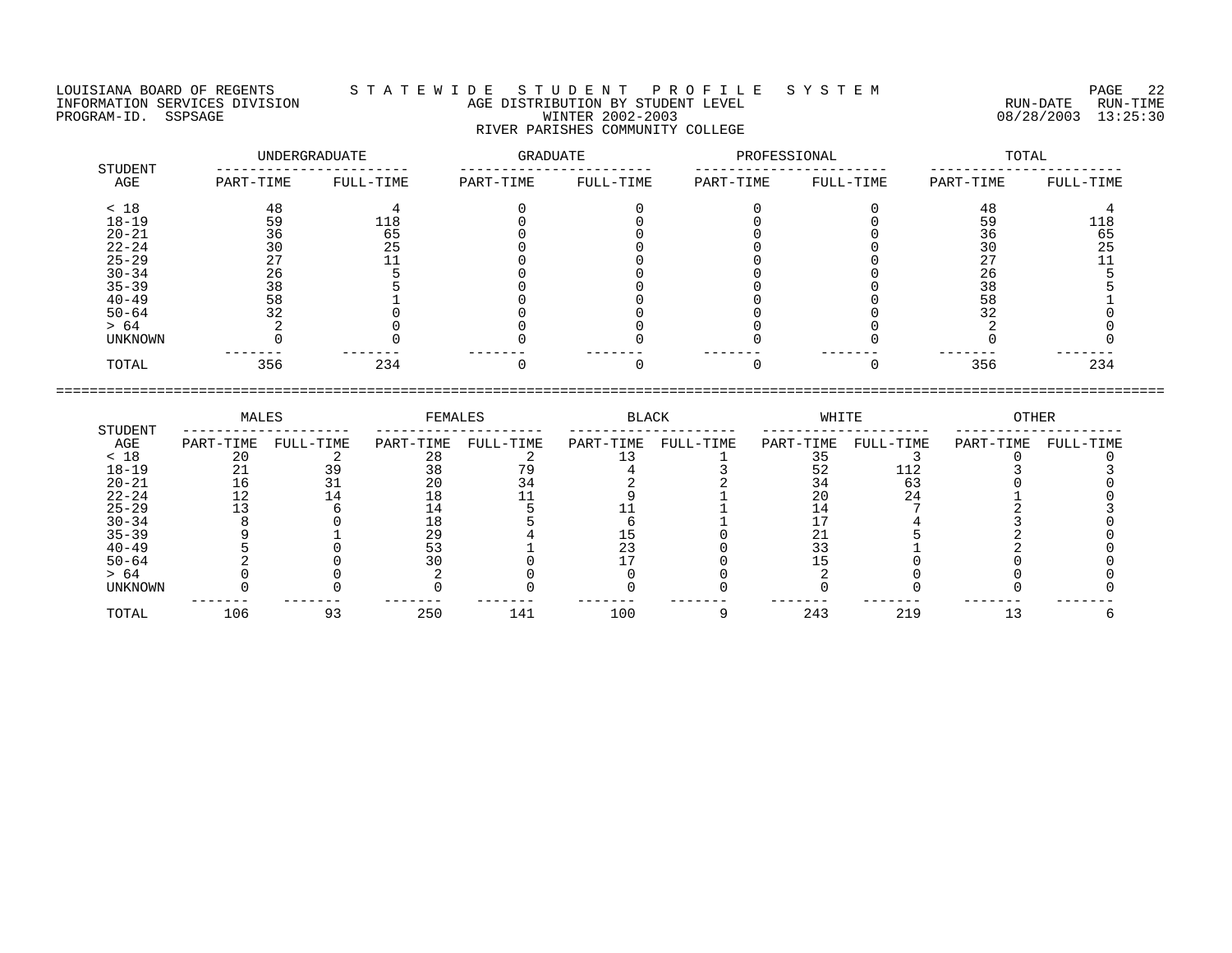LOUISIANA BOARD OF REGENTS S T A T E W I D E S T U D E N T P R O F I L E S Y S T E M PAGE 22 INFORMATION SERVICES DIVISION AGE DISTRIBUTION BY STUDENT LEVEL RUN-DATE RUN-TIME EQUISIANA BOARD OF REGENTS STATEWIDE STUDENT PROFILE SYSTEM PAGE 22<br>INFORMATION SERVICES DIVISION AGE DISTRIBUTION BY STUDENT LEVEL FORMATION SERVICES DIVISION AGE DISTRIBUTION BY STUDENT LEVEL SYSTEM (RUN-DATE RUN-TIME PR RIVER PARISHES COMMUNITY COLLEGE

| STUDENT        |           | UNDERGRADUATE | GRADUATE  |           | PROFESSIONAL |           |           | TOTAL     |
|----------------|-----------|---------------|-----------|-----------|--------------|-----------|-----------|-----------|
| AGE            | PART-TIME | FULL-TIME     | PART-TIME | FULL-TIME | PART-TIME    | FULL-TIME | PART-TIME | FULL-TIME |
| < 18           | 48        |               |           |           |              |           | 48        |           |
| $18 - 19$      | 59        | 118           |           |           |              |           | 59        | 118       |
| $20 - 21$      | 36        | 65            |           |           |              |           | 36        | 65        |
| $22 - 24$      | 30        | 25            |           |           |              |           | 30        | 25        |
| $25 - 29$      |           |               |           |           |              |           |           |           |
| $30 - 34$      | 26        |               |           |           |              |           | 26        |           |
| $35 - 39$      | 38        |               |           |           |              |           | 38        |           |
| $40 - 49$      | 58        |               |           |           |              |           | 58        |           |
| $50 - 64$      | 32        |               |           |           |              |           |           |           |
| > 64           |           |               |           |           |              |           |           |           |
| <b>UNKNOWN</b> |           |               |           |           |              |           |           |           |
| TOTAL          | 356       | 234           |           |           |              |           | 356       | 234       |

|                | MALES     |           | FEMALES   |           | BLACK     |           | WHITE     |           | OTHER     |           |
|----------------|-----------|-----------|-----------|-----------|-----------|-----------|-----------|-----------|-----------|-----------|
| STUDENT<br>AGE | PART-TIME | FULL-TIME | PART-TIME | FULL-TIME | PART-TIME | FULL-TIME | PART-TIME | FULL-TIME | PART-TIME | FULL-TIME |
| < 18           |           |           | 28        |           |           |           |           |           |           |           |
| $18 - 19$      |           |           | 38        |           |           |           | 52        | 112       |           |           |
| $20 - 21$      |           |           | 20        | 34        |           |           | 34        |           |           |           |
| $22 - 24$      | ⊥∠        |           |           |           |           |           | 20        | 24        |           |           |
| $25 - 29$      |           |           |           |           |           |           |           |           |           |           |
| $30 - 34$      |           |           |           |           |           |           |           |           |           |           |
| $35 - 39$      |           |           | 29        |           |           |           | 41        |           |           |           |
| $40 - 49$      |           |           |           |           |           |           | る         |           |           |           |
| $50 - 64$      |           |           |           |           |           |           |           |           |           |           |
| > 64           |           |           |           |           |           |           |           |           |           |           |
| UNKNOWN        |           |           |           |           |           |           |           |           |           |           |
| TOTAL          | 106       | 93        | 250       | 141       | 100       |           | 243       | 219       |           |           |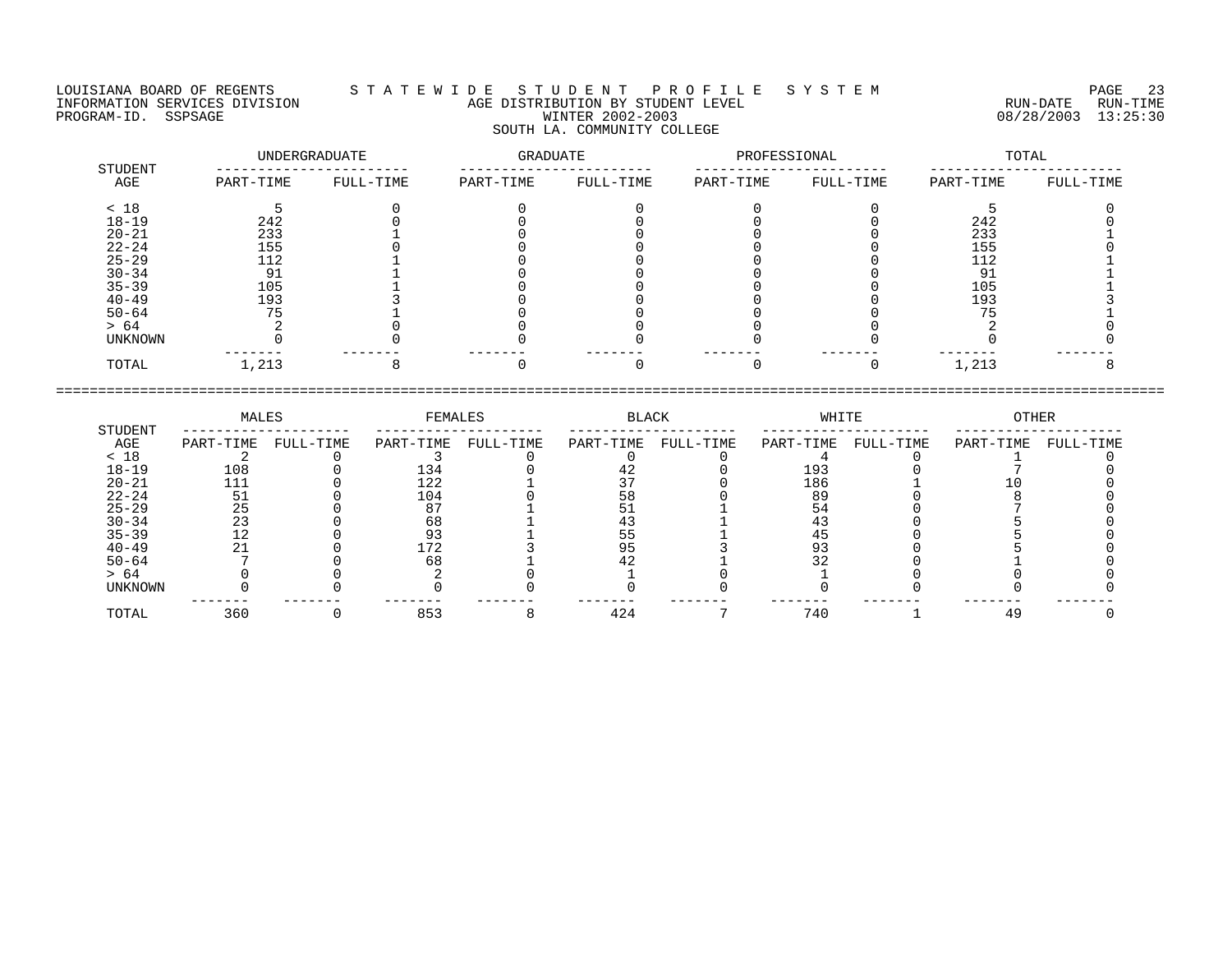LOUISIANA BOARD OF REGENTS S T A T E W I D E S T U D E N T P R O F I L E S Y S T E M PAGE 23 INFORMATION SERVICES DIVISION AGE DISTRIBUTION BY STUDENT LEVEL RUN-DATE RUN-TIME EQUISIANA BOARD OF REGENTS STATEWIDE STUDENT PROFILE SYSTEM PAGE 23<br>INFORMATION SERVICES DIVISION AGE DISTRIBUTION BY STUDENT LEVEL FORMATION SERVICES DIVISION AGE DISTRIBUTION BY STUDENT LEVEL SYSTEM (RUN-DATE RUN-TIME<br>PR SOUTH LA. COMMUNITY COLLEGE

| <b>STUDENT</b> |           | UNDERGRADUATE | GRADUATE  |           | PROFESSIONAL |           |           | TOTAL     |
|----------------|-----------|---------------|-----------|-----------|--------------|-----------|-----------|-----------|
| AGE            | PART-TIME | FULL-TIME     | PART-TIME | FULL-TIME | PART-TIME    | FULL-TIME | PART-TIME | FULL-TIME |
| < 18           |           |               |           |           |              |           |           |           |
| $18 - 19$      | 242       |               |           |           |              |           | 242       |           |
| $20 - 21$      | 233       |               |           |           |              |           | 233       |           |
| $22 - 24$      | 155       |               |           |           |              |           | 155       |           |
| $25 - 29$      | 112       |               |           |           |              |           | 112       |           |
| $30 - 34$      | 91        |               |           |           |              |           |           |           |
| $35 - 39$      | 105       |               |           |           |              |           | 105       |           |
| $40 - 49$      | 193       |               |           |           |              |           | 193       |           |
| $50 - 64$      | 75        |               |           |           |              |           |           |           |
| > 64           |           |               |           |           |              |           |           |           |
| UNKNOWN        |           |               |           |           |              |           |           |           |
| TOTAL          | 1,213     |               |           |           |              |           | 1,213     |           |

|                | MALES     |           | FEMALES   |           | BLACK     |           | WHITE     |           | OTHER     |           |
|----------------|-----------|-----------|-----------|-----------|-----------|-----------|-----------|-----------|-----------|-----------|
| STUDENT<br>AGE | PART-TIME | FULL-TIME | PART-TIME | FULL-TIME | PART-TIME | FULL-TIME | PART-TIME | FULL-TIME | PART-TIME | FULL-TIME |
| < 18           |           |           |           |           |           |           |           |           |           |           |
| $18 - 19$      | 108       |           | 134       |           |           |           | 193       |           |           |           |
| $20 - 21$      | 111       |           | 122       |           |           |           | 186       |           |           |           |
| $22 - 24$      | 51        |           | 104       |           | 58        |           | 89        |           |           |           |
| $25 - 29$      | 25        |           |           |           |           |           |           |           |           |           |
| $30 - 34$      |           |           | 68        |           |           |           |           |           |           |           |
| $35 - 39$      |           |           | 93        |           |           |           |           |           |           |           |
| $40 - 49$      |           |           | 172       |           |           |           |           |           |           |           |
| $50 - 64$      |           |           | 68        |           |           |           |           |           |           |           |
| > 64           |           |           |           |           |           |           |           |           |           |           |
| UNKNOWN        |           |           |           |           |           |           |           |           |           |           |
| TOTAL          | 360       |           | 853       |           | 424       |           | 740       |           | 49        |           |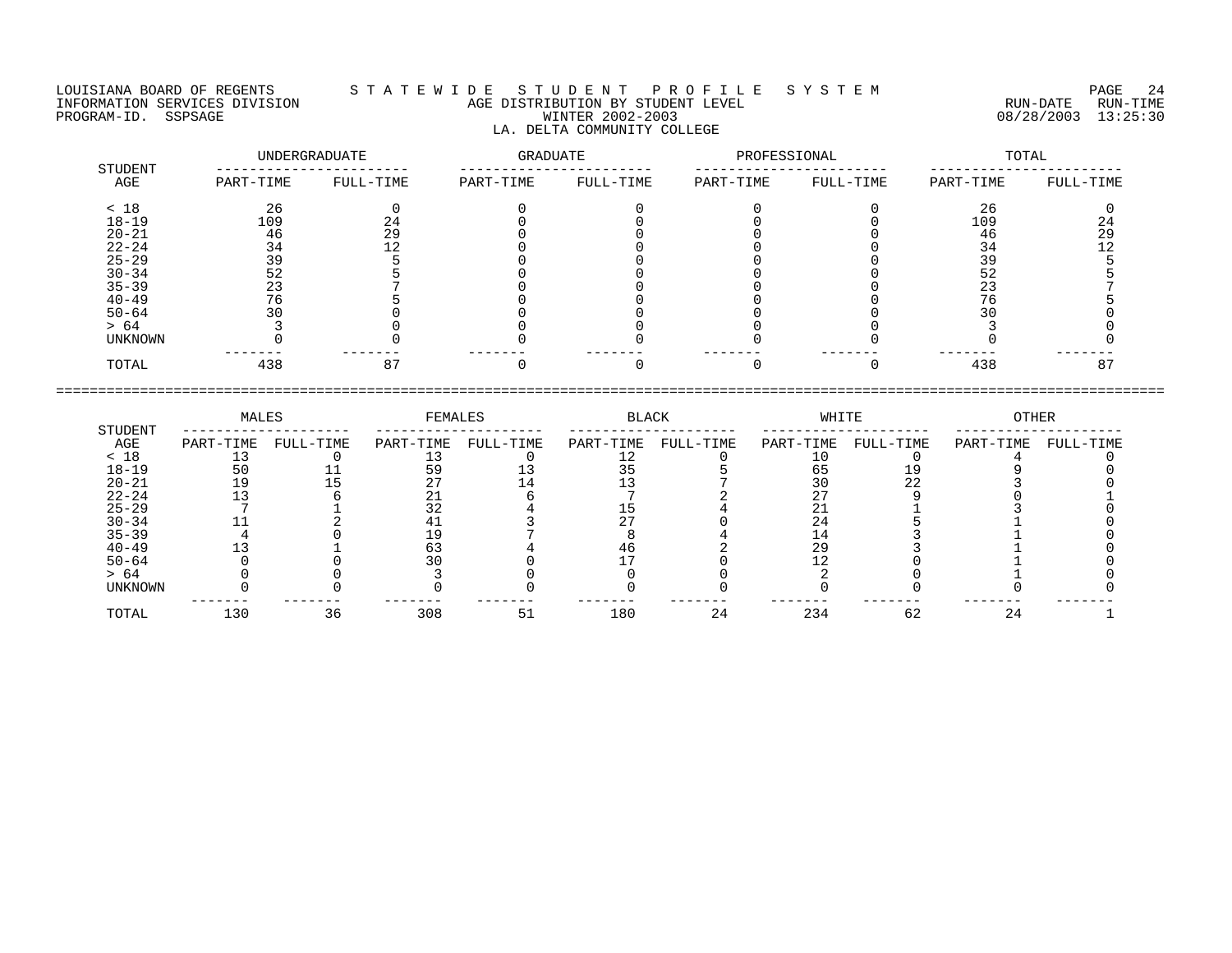LA. DELTA COMMUNITY COLLEGE

LOUISIANA BOARD OF REGENTS S T A T E W I D E S T U D E N T P R O F I L E S Y S T E M PAGE 24 INFORMATION SERVICES DIVISION AGE DISTRIBUTION BY STUDENT LEVEL RUN-DATE RUN-TIME PROGRAM-ID. SSPSAGE PROGRAM-ID. SSPSAGE PROGRAM-ID. SSPSAGE WINTER 2002-2003 08/28/2003 13:25:30

| STUDENT   | UNDERGRADUATE |           | GRADUATE  |           | PROFESSIONAL |           | TOTAL     |           |
|-----------|---------------|-----------|-----------|-----------|--------------|-----------|-----------|-----------|
| AGE       | PART-TIME     | FULL-TIME | PART-TIME | FULL-TIME | PART-TIME    | FULL-TIME | PART-TIME | FULL-TIME |
| < 18      | 26            | 0         |           |           |              |           | 26        |           |
| $18 - 19$ | 109           | 24        |           |           |              |           | 109       | 24        |
| $20 - 21$ | 46            | 29        |           |           |              |           | 46        | 29        |
| $22 - 24$ | 34            | 12        |           |           |              |           | 34        |           |
| $25 - 29$ | 39            |           |           |           |              |           | 39        |           |
| $30 - 34$ | 52            |           |           |           |              |           | 52        |           |
| $35 - 39$ | 23            |           |           |           |              |           | 23        |           |
| $40 - 49$ | 76            |           |           |           |              |           | 76        |           |
| $50 - 64$ | 30            |           |           |           |              |           |           |           |
| > 64      |               |           |           |           |              |           |           |           |
| UNKNOWN   |               |           |           |           |              |           |           |           |
| TOTAL     | 438           | 87        |           |           |              |           | 438       | 87        |

|                | MALES     |           | FEMALES   |           | BLACK     |           | WHITE     |           | OTHER     |           |
|----------------|-----------|-----------|-----------|-----------|-----------|-----------|-----------|-----------|-----------|-----------|
| STUDENT<br>AGE | PART-TIME | FULL-TIME | PART-TIME | FULL-TIME | PART-TIME | FULL-TIME | PART-TIME | FULL-TIME | PART-TIME | FULL-TIME |
| < 18           |           |           |           |           |           |           |           |           |           |           |
| $18 - 19$      | 50        |           |           |           |           |           | 65        |           |           |           |
| $20 - 21$      |           |           |           |           |           |           |           | 22        |           |           |
| $22 - 24$      |           |           | ∠⊥        |           |           |           |           |           |           |           |
| $25 - 29$      |           |           |           |           |           |           |           |           |           |           |
| $30 - 34$      |           |           |           |           |           |           | 24        |           |           |           |
| $35 - 39$      |           |           |           |           |           |           | ⊥4        |           |           |           |
| $40 - 49$      |           |           | 63        |           | 46        |           | 29        |           |           |           |
| $50 - 64$      |           |           |           |           |           |           |           |           |           |           |
| > 64           |           |           |           |           |           |           |           |           |           |           |
| UNKNOWN        |           |           |           |           |           |           |           |           |           |           |
| TOTAL          | 130       | 36        | 308       | 51        | 180       | 24        | 234       | 62        | 24        |           |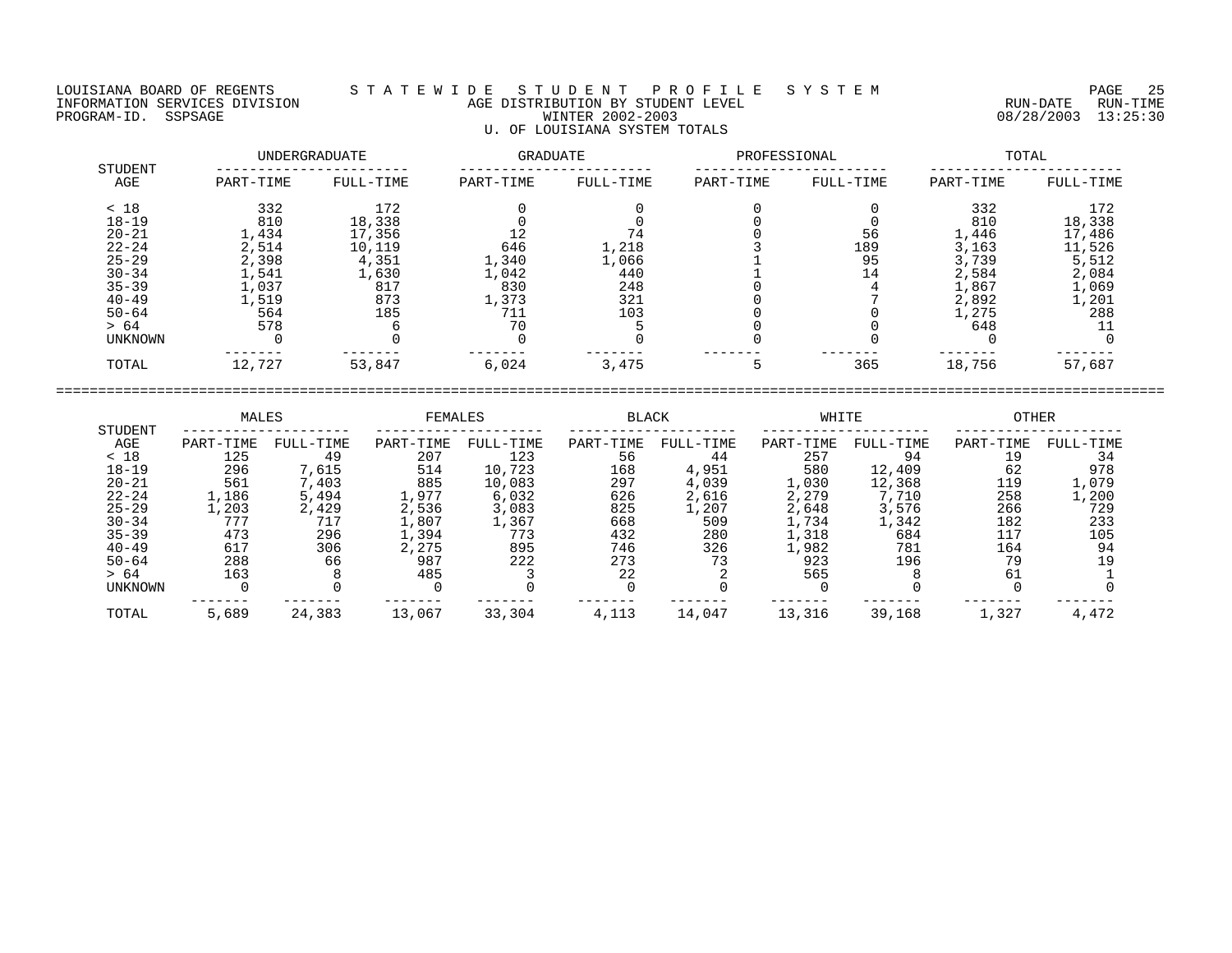## LOUISIANA BOARD OF REGENTS S T A T E W I D E S T U D E N T P R O F I L E S Y S T E M PAGE 25 INFORMATION SERVICES DIVISION AGE DISTRIBUTION BY STUDENT LEVEL RUN-DATE RUN-TIME ENGENIE SOMETHOUS DIVISION CONTRACT THE CONTRACT ON SERVICES DIVISION CONTRACT AGE DISTRIBUTION BY STUDENT LEVEL<br>PROGRAM-ID. SSPSAGE CUN-TIME RUN-DISION MINTER 2002-2003 08/28/2003 13:25:30 U. OF LOUISIANA SYSTEM TOTALS

|                | UNDERGRADUATE |           | GRADUATE  |           | PROFESSIONAL |           | TOTAL     |           |
|----------------|---------------|-----------|-----------|-----------|--------------|-----------|-----------|-----------|
| STUDENT<br>AGE | PART-TIME     | FULL-TIME | PART-TIME | FULL-TIME | PART-TIME    | FULL-TIME | PART-TIME | FULL-TIME |
| < 18           | 332           | 172       |           |           |              |           | 332       | 172       |
| $18 - 19$      | 810           | 18,338    |           |           |              |           | 810       | 18,338    |
| $20 - 21$      | 1,434         | 17,356    | 12        |           |              | 56        | 1,446     | 17,486    |
| $22 - 24$      | 2,514         | 10,119    | 646       | 1,218     |              | 189       | 3,163     | 11,526    |
| $25 - 29$      | 2,398         | 4,351     | 1,340     | 1,066     |              | 95        | 3,739     | 5,512     |
| $30 - 34$      | 1,541         | 1,630     | 1,042     | 440       |              | 14        | 2,584     | 2,084     |
| $35 - 39$      | 1,037         | 817       | 830       | 248       |              |           | 1,867     | 1,069     |
| $40 - 49$      | 1,519         | 873       | 1,373     | 321       |              |           | 2,892     | 1,201     |
| $50 - 64$      | 564           | 185       | 711       | 103       |              |           | 1,275     | 288       |
| > 64           | 578           |           | 70        |           |              |           | 648       |           |
| UNKNOWN        |               |           |           |           |              |           |           |           |
| TOTAL          | 12,727        | 53,847    | 6,024     | 3,475     | 5            | 365       | 18,756    | 57,687    |

| STUDENT        | MALES     |           | FEMALES   |           | <b>BLACK</b> |           | WHITE     |           | <b>OTHER</b> |           |
|----------------|-----------|-----------|-----------|-----------|--------------|-----------|-----------|-----------|--------------|-----------|
| AGE            | PART-TIME | FULL-TIME | PART-TIME | FULL-TIME | PART-TIME    | FULL-TIME | PART-TIME | FULL-TIME | PART-TIME    | FULL-TIME |
| < 18           | 125       | 49        | 207       | 123       | 56           | 44        | 257       | 94        | 19           | 34        |
| $18 - 19$      | 296       | 7,615     | 514       | 10,723    | 168          | 4,951     | 580       | 12,409    | 62           | 978       |
| $20 - 21$      | 561       | 7,403     | 885       | 10,083    | 297          | 4,039     | 1,030     | 12,368    | 119          | 1,079     |
| $22 - 24$      | 1,186     | 5,494     | .,977     | 6,032     | 626          | 2,616     | 2,279     | 7,710     | 258          | 1,200     |
| $25 - 29$      | .,203     | 2,429     | 2,536     | 3,083     | 825          | 1,207     | 2,648     | 3,576     | 266          | 729       |
| $30 - 34$      | 777       | 717       | .,807     | 1,367     | 668          | 509       | L,734     | 1,342     | 182          | 233       |
| $35 - 39$      | 473       | 296       | .,394     | 773       | 432          | 280       | ., 318    | 684       | 117          | 105       |
| $40 - 49$      | 617       | 306       | 2,275     | 895       | 746          | 326       | .,982     | 781       | 164          | 94        |
| $50 - 64$      | 288       | 66        | 987       | 222       | 273          | 73        | 923       | 196       | 79           | 19        |
| > 64           | 163       |           | 485       |           | 22           |           | 565       |           | 61           |           |
| <b>UNKNOWN</b> |           |           |           |           |              |           |           |           |              |           |
| TOTAL          | 5,689     | 24,383    | 13,067    | 33,304    | 4,113        | 14,047    | 13,316    | 39,168    | 1,327        | 4,472     |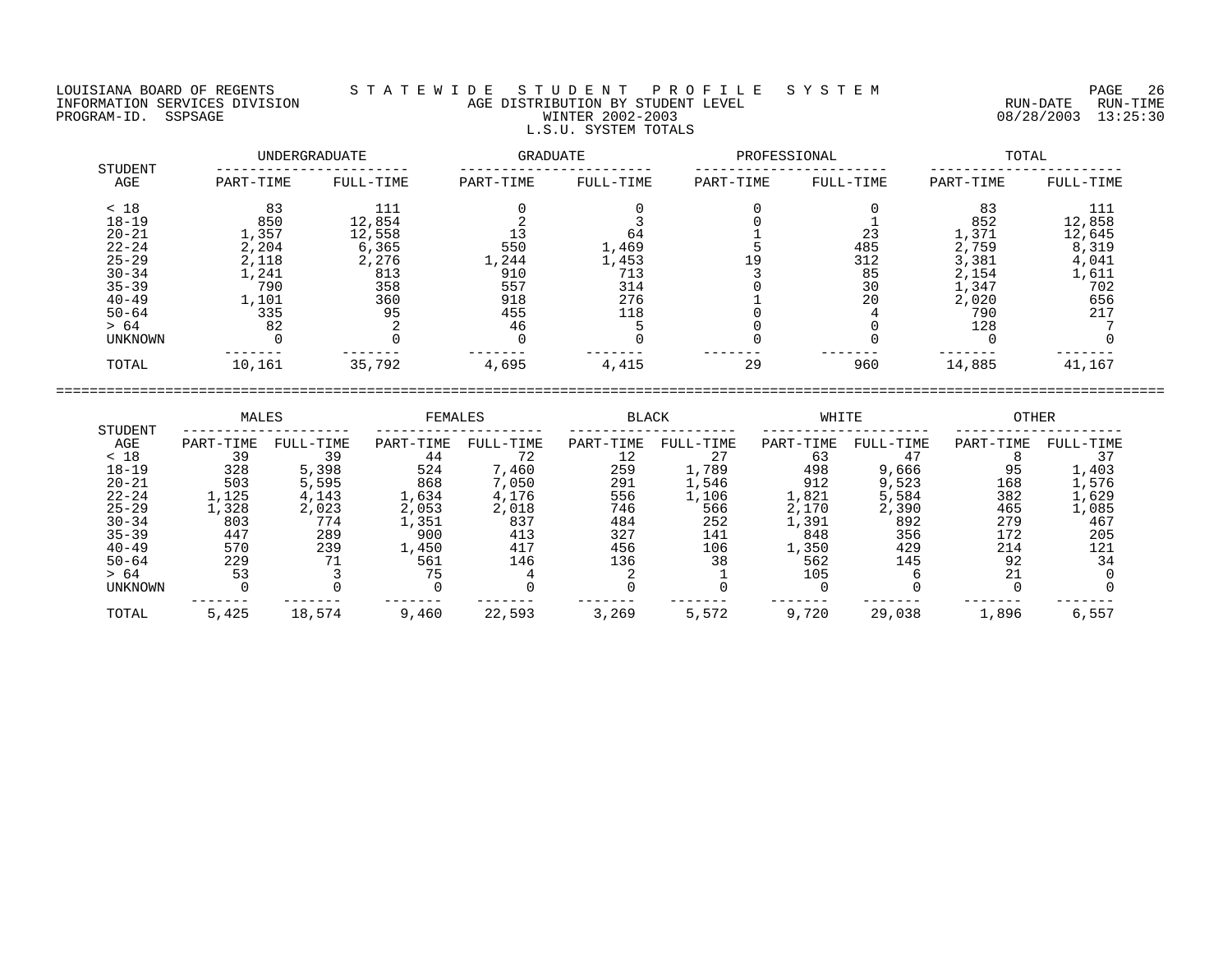## LOUISIANA BOARD OF REGENTS S T A T E W I D E S T U D E N T P R O F I L E S Y S T E M PAGE 26 INFORMATION SERVICES DIVISION AGE DISTRIBUTION BY STUDENT LEVEL RUN-DATE RUN-TIME NEORMATION SERVICES DIVISION CONTRACT TO AGE DISTRIBUTION BY STUDENT LEVEL CONTRACTION SERVICES DIVISION CONTRA<br>PROGRAM-ID. SSPSAGE PUN-TIME WINTER 2002-2003 08/28/2003 13:25:30 L.S.U. SYSTEM TOTALS

| STUDENT   | UNDERGRADUATE |           | <b>GRADUATE</b> |           | PROFESSIONAL |           | TOTAL     |           |
|-----------|---------------|-----------|-----------------|-----------|--------------|-----------|-----------|-----------|
| AGE       | PART-TIME     | FULL-TIME | PART-TIME       | FULL-TIME | PART-TIME    | FULL-TIME | PART-TIME | FULL-TIME |
| < 18      | 83            | 111       |                 |           |              |           | 83        | 111       |
| $18 - 19$ | 850           | 12,854    |                 |           |              |           | 852       | 12,858    |
| $20 - 21$ | 1,357         | 12,558    |                 | 64        |              | 23        | 1,371     | 12,645    |
| $22 - 24$ | 2,204         | 6,365     | 550             | 1,469     |              | 485       | 2,759     | 8,319     |
| $25 - 29$ | 2,118         | 2,276     | 1,244           | 1,453     | 19           | 312       | 3,381     | 4,041     |
| $30 - 34$ | 1,241         | 813       | 910             | 713       |              | 85        | 2,154     | 1,611     |
| $35 - 39$ | 790           | 358       | 557             | 314       |              | 30        | 1,347     | 702       |
| $40 - 49$ | 1,101         | 360       | 918             | 276       |              | 20        | 2,020     | 656       |
| $50 - 64$ | 335           | 95        | 455             | 118       |              |           | 790       | 217       |
| > 64      | 82            |           | 46              |           |              |           | 128       |           |
| UNKNOWN   |               |           |                 |           |              |           |           |           |
| TOTAL     | 10,161        | 35,792    | 4,695           | 4,415     | 29           | 960       | 14,885    | 41,167    |

|                | MALES     |           | <b>FEMALES</b> |           | <b>BLACK</b> |           | WHITE     |           | <b>OTHER</b> |           |
|----------------|-----------|-----------|----------------|-----------|--------------|-----------|-----------|-----------|--------------|-----------|
| STUDENT<br>AGE | PART-TIME | FULL-TIME | PART-TIME      | FULL-TIME | PART-TIME    | FULL-TIME | PART-TIME | FULL-TIME | PART-TIME    | FULL-TIME |
| < 18           | 39        | 39        | 44             | 72        | 12           | 27        | 63        | 47        |              |           |
| $18 - 19$      | 328       | 5,398     | 524            | 7,460     | 259          | 1,789     | 498       | 9,666     | 95           | 1,403     |
| $20 - 21$      | 503       | 5,595     | 868            | 7,050     | 291          | 1,546     | 912       | 9,523     | 168          | 1,576     |
| $22 - 24$      | 1,125     | 4,143     | 1,634          | 4,176     | 556          | 1,106     | 1,821     | 5,584     | 382          | 1,629     |
| $25 - 29$      | ,328      | 2,023     | 2,053          | 2,018     | 746          | 566       | 2,170     | 2,390     | 465          | 1,085     |
| $30 - 34$      | 803       | 774       | l,351          | 837       | 484          | 252       | 1,391     | 892       | 279          | 467       |
| $35 - 39$      | 447       | 289       | 900            | 413       | 327          | 141       | 848       | 356       | 172          | 205       |
| $40 - 49$      | 570       | 239       | 1,450          | 417       | 456          | 106       | 1,350     | 429       | 214          | 121       |
| $50 - 64$      | 229       | 71        | 561            | 146       | 136          | 38        | 562       | 145       | 92           | 34        |
| > 64           | 53        |           | 75             |           |              |           | 105       |           | 21           |           |
| <b>UNKNOWN</b> |           |           |                |           |              |           |           |           |              |           |
| TOTAL          | 5,425     | 18,574    | 9,460          | 22,593    | 3,269        | 5,572     | 9,720     | 29,038    | 1,896        | 6,557     |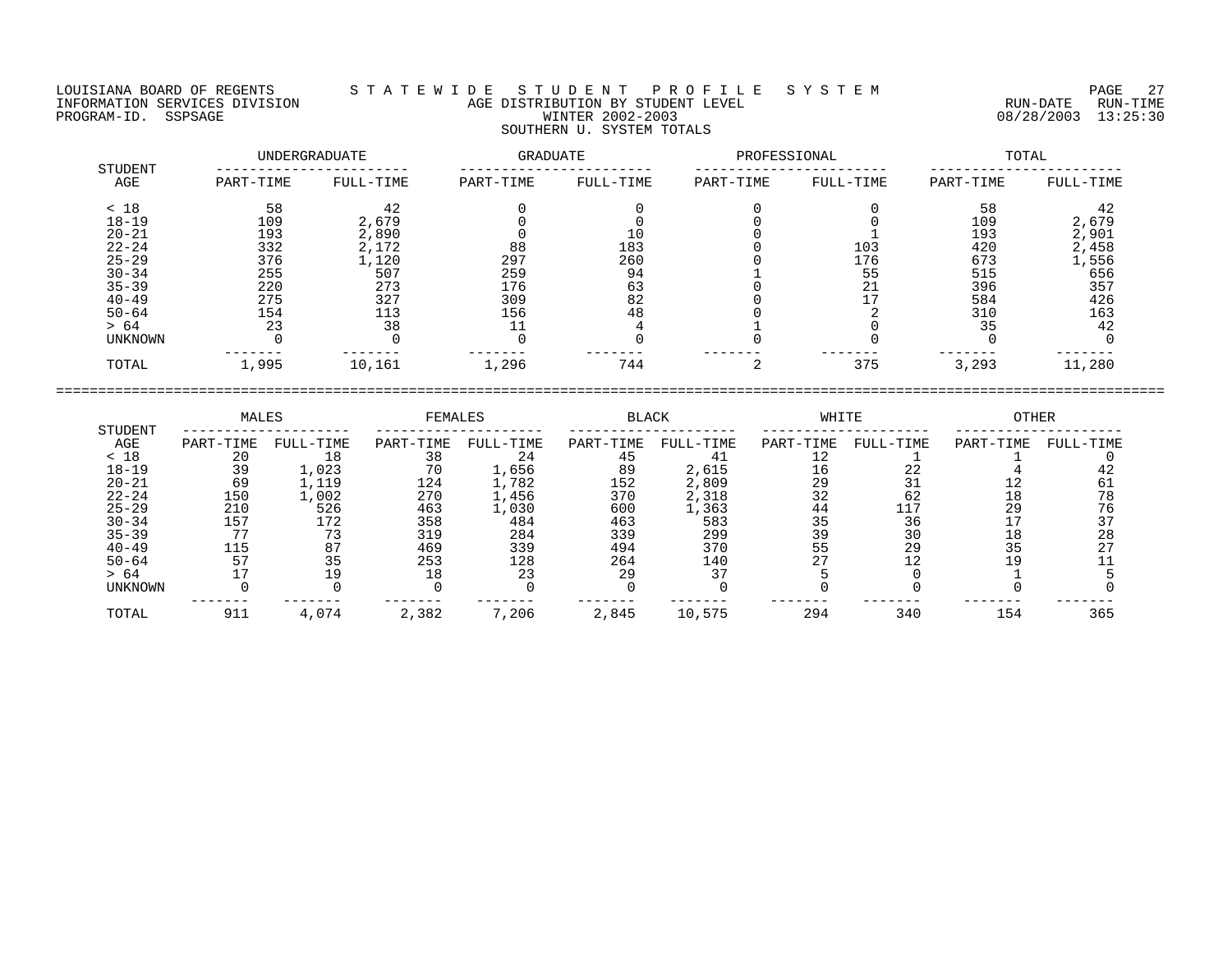## LOUISIANA BOARD OF REGENTS S T A T E W I D E S T U D E N T P R O F I L E S Y S T E M PAGE 27 INFORMATION SERVICES DIVISION AGE DISTRIBUTION BY STUDENT LEVEL RUN-DATE RUN-TIME ENGENIE SOMETHING SERVICES DIVISION TO AGE DISTRIBUTION BY STUDENT LEVEL TO A CONTROLLATION SERVICES DIVISION<br>PROGRAM-ID. SSPSAGE PROGRAM-ID. SSPSAGE MUNISION NEWSLAPHER 2002-2003 SOUTHERN U. SYSTEM TOTALS

|                |           | UNDERGRADUATE      | GRADUATE  |           | PROFESSIONAL |           | TOTAL     |           |  |
|----------------|-----------|--------------------|-----------|-----------|--------------|-----------|-----------|-----------|--|
| STUDENT<br>AGE | PART-TIME | FULL-TIME          | PART-TIME | FULL-TIME | PART-TIME    | FULL-TIME | PART-TIME | FULL-TIME |  |
| < 18           | 58        | 42                 |           |           |              |           | 58        | 42        |  |
| $18 - 19$      | 109       | 2,679              |           |           |              |           | 109       | 2,679     |  |
| $20 - 21$      | 193       | 2,890              |           | 10        |              |           | 193       | 2,901     |  |
| $22 - 24$      | 332       | 2,172              | 88        | 183       |              | 103       | 420       | 2,458     |  |
| $25 - 29$      | 376       | $\overline{1,120}$ | 297       | 260       |              | 176       | 673       | 1,556     |  |
| $30 - 34$      | 255       | 507                | 259       | 94        |              | 55        | 515       | 656       |  |
| $35 - 39$      | 220       | 273                | 176       | 63        |              | 21        | 396       | 357       |  |
| $40 - 49$      | 275       | 327                | 309       | 82        |              | 17        | 584       | 426       |  |
| $50 - 64$      | 154       | 113                | 156       | 48        |              |           | 310       | 163       |  |
| > 64           | 23        | 38                 |           |           |              |           | 35        | 42        |  |
| UNKNOWN        |           |                    |           |           |              |           |           |           |  |
| TOTAL          | 1,995     | 10,161             | 1,296     | 744       |              | 375       | 3,293     | 11,280    |  |

| STUDENT        | MALES     |           | <b>FEMALES</b> |           | <b>BLACK</b> |           | WHITE     |           | OTHER     |           |
|----------------|-----------|-----------|----------------|-----------|--------------|-----------|-----------|-----------|-----------|-----------|
| AGE            | PART-TIME | FULL-TIME | PART-TIME      | FULL-TIME | PART-TIME    | FULL-TIME | PART-TIME | FULL-TIME | PART-TIME | FULL-TIME |
| < 18           | 20        | 18        | 38             | 24        | 45           |           | ⊥∠        |           |           |           |
| $18 - 19$      | 39        | 1,023     | 70             | 1,656     | 89           | 2,615     | 16        | 22        |           |           |
| $20 - 21$      | 69        | 1,119     | 124            | 1,782     | 152          | 2,809     | 29        | 31        |           |           |
| $22 - 24$      | 150       | 1,002     | 270            | 1,456     | 370          | 2,318     | 32        | 62        | 18        |           |
| $25 - 29$      | 210       | 526       | 463            | 1,030     | 600          | 1,363     | 44        |           | 29        |           |
| $30 - 34$      | 157       | 172       | 358            | 484       | 463          | 583       | 35        | 36        |           |           |
| $35 - 39$      | חח        | 73        | 319            | 284       | 339          | 299       | 39        | 30        | 18        | 28        |
| $40 - 49$      | 115       | 87        | 469            | 339       | 494          | 370       | 55        | 29        | 35        | 27        |
| $50 - 64$      | 57        | 35        | 253            | 128       | 264          | 140       |           |           | 1 Q       |           |
| > 64           |           |           | 18             | 23        | 29           | 37        |           |           |           |           |
| <b>UNKNOWN</b> |           |           |                |           |              |           |           |           |           |           |
| TOTAL          | 911       | 4,074     | 2,382          | 7,206     | 2,845        | 10,575    | 294       | 340       | 154       | 365       |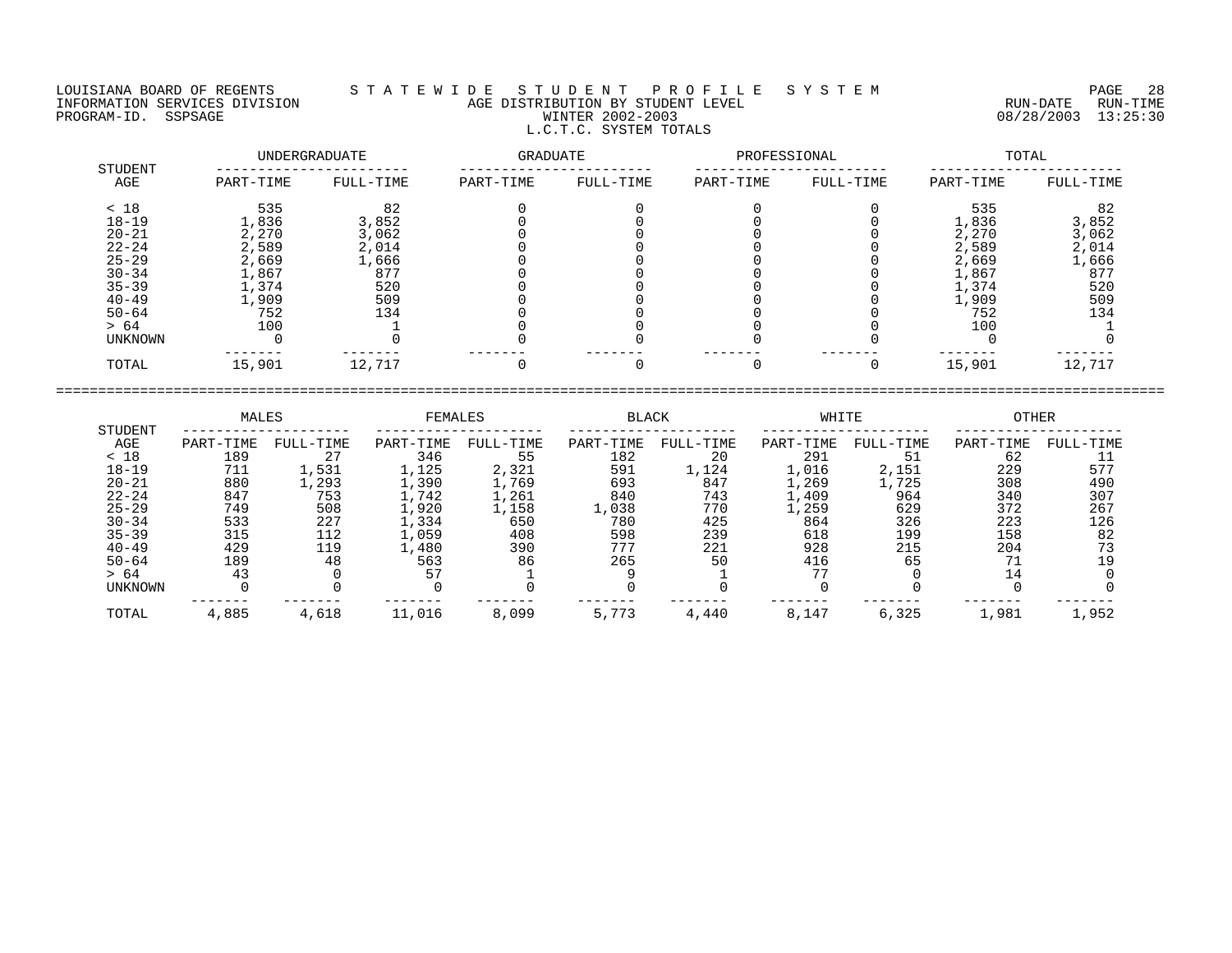## LOUISIANA BOARD OF REGENTS S T A T E W I D E S T U D E N T P R O F I L E S Y S T E M PAGE 28 INFORMATION SERVICES DIVISION AGE DISTRIBUTION BY STUDENT LEVEL RUN-DATE RUN-TIME PROGRAM-ID. SSPSAGE WINTER 2002-2003 08/28/2003 13:25:30 L.C.T.C. SYSTEM TOTALS

|                | UNDERGRADUATE |           | GRADUATE  |           | PROFESSIONAL |           | TOTAL     |           |  |
|----------------|---------------|-----------|-----------|-----------|--------------|-----------|-----------|-----------|--|
| STUDENT<br>AGE | PART-TIME     | FULL-TIME | PART-TIME | FULL-TIME | PART-TIME    | FULL-TIME | PART-TIME | FULL-TIME |  |
| < 18           | 535           | 82        |           |           |              |           | 535       | 82        |  |
| $18 - 19$      | 1,836         | 3,852     |           |           |              |           | 1,836     | 3,852     |  |
| $20 - 21$      | 2,270         | 3,062     |           |           |              |           | 2,270     | 3,062     |  |
| $22 - 24$      | 2,589         | 2,014     |           |           |              |           | 2,589     | 2,014     |  |
| $25 - 29$      | 2,669         | 1,666     |           |           |              |           | 2,669     | 1,666     |  |
| $30 - 34$      | 1,867         | 877       |           |           |              |           | 1,867     | 877       |  |
| $35 - 39$      | 1,374         | 520       |           |           |              |           | 1,374     | 520       |  |
| $40 - 49$      | 1,909         | 509       |           |           |              |           | 1,909     | 509       |  |
| $50 - 64$      | 752           | 134       |           |           |              |           | 752       | 134       |  |
| > 64           | 100           |           |           |           |              |           | 100       |           |  |
| UNKNOWN        |               |           |           |           |              |           |           |           |  |
| TOTAL          | 15,901        | 12,717    |           |           |              |           | 15,901    | 12,717    |  |

|           | MALES     |           | FEMALES   |           | BLACK     |           | WHITE         |           | OTHER     |           |
|-----------|-----------|-----------|-----------|-----------|-----------|-----------|---------------|-----------|-----------|-----------|
| STUDENT   |           |           |           |           |           |           |               |           |           |           |
| AGE       | PART-TIME | FULL-TIME | PART-TIME | FULL-TIME | PART-TIME | FULL-TIME | PART-TIME     | FULL-TIME | PART-TIME | FULL-TIME |
| < 18      | 189       | 27        | 346       | 55        | 182       | 20        | 291           | 51        | 62        |           |
| $18 - 19$ | 711       | 1,531     | 1,125     | 2,321     | 591       | 1,124     | 1,016         | 2,151     | 229       | 577       |
| $20 - 21$ | 880       | .,293     | 1,390     | 1,769     | 693       | 847       | , 269         | 1,725     | 308       | 490       |
| $22 - 24$ | 847       | 753       | L,742     | 1,261     | 840       | 743       | .,409         | 964       | 340       | 307       |
| $25 - 29$ | 749       | 508       | L,920     | 1,158     | L,038     | 770       | $\perp$ , 259 | 629       | 372       | 267       |
| $30 - 34$ | 533       | 227       | 1,334     | 650       | 780       | 425       | 864           | 326       | 223       | 126       |
| $35 - 39$ | 315       | 112       | 1,059     | 408       | 598       | 239       | 618           | 199       | 158       | 82        |
| $40 - 49$ | 429       | 119       | 1,480     | 390       | 777       | 221       | 928           | 215       | 204       |           |
| $50 - 64$ | 189       | 48        | 563       | 86        | 265       | 50        | 416           | 65        | 71        | 19        |
| > 64      | 43        |           | 57        |           |           |           | 77            |           | 14        |           |
| UNKNOWN   |           |           |           |           |           |           |               |           |           |           |
| TOTAL     | 4,885     | 4,618     | 11,016    | 8,099     | 5,773     | 4,440     | 8,147         | 6,325     | 1,981     | 1,952     |